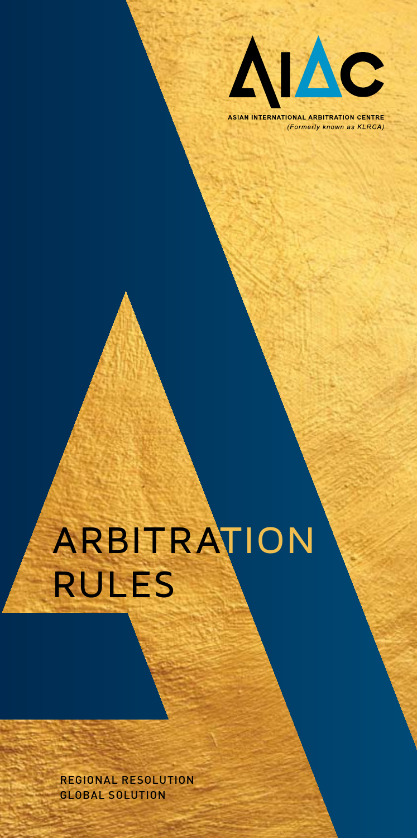

**ASIAN INTERNATIONAL ARBITRATION CENTRE** (Formerly known as KLRCA)

# ARBITRATION RULES

REGIONAL RESOLUTION GLOBAL SOLUTION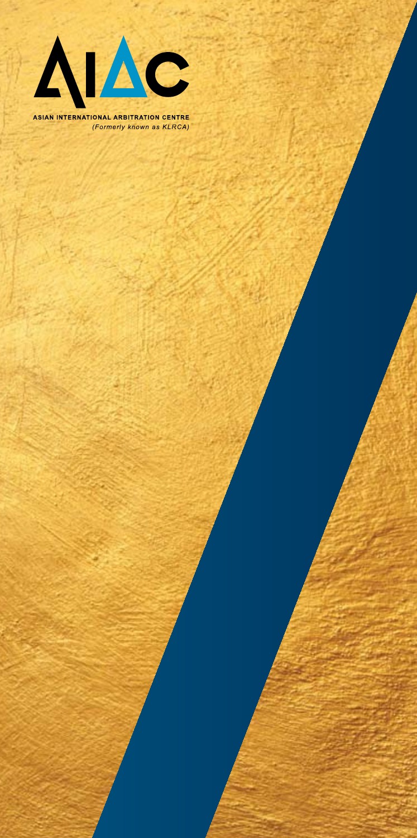

ASIAN INTERNATIONAL ARBITRATION CENTRE (Formerly known as KLRCA)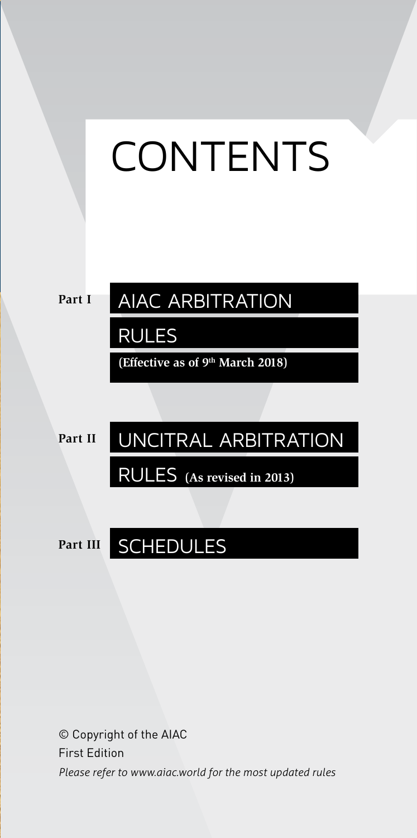



### AIAC ARBITRATION

RULES

**(Effective as of 9th March 2018)**

**Part II**

### UNCITRAL ARBITRATION

RULES **(As revised in 2013)**

**Part III**

### SCHEDULES

© Copyright of the AIAC First Edition *Please refer to www.aiac.world for the most updated rules*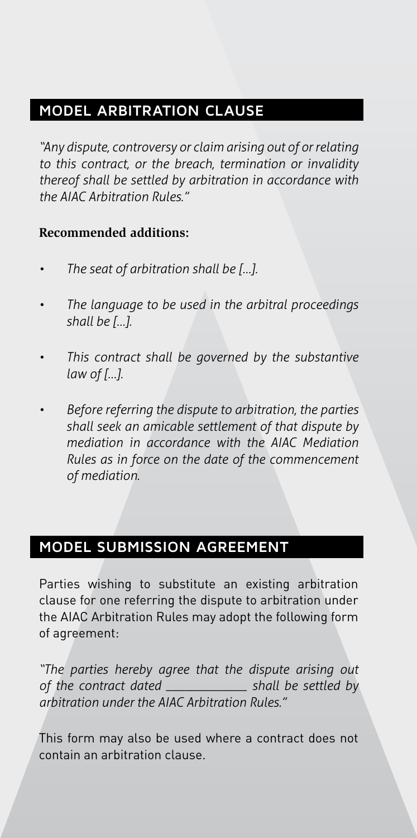#### **MODEL ARBITRATION CLAUSE**

*"Any dispute, controversy or claim arising out of or relating to this contract, or the breach, termination or invalidity thereof shall be settled by arbitration in accordance with the AIAC Arbitration Rules."*

#### **Recommended additions:**

- *• The seat of arbitration shall be […].*
- *• The language to be used in the arbitral proceedings shall be […].*
- *• This contract shall be governed by the substantive law of […].*
- *• Before referring the dispute to arbitration, the parties shall seek an amicable settlement of that dispute by mediation in accordance with the AIAC Mediation Rules as in force on the date of the commencement of mediation.*

#### **MODEL SUBMISSION AGREEMENT**

Parties wishing to substitute an existing arbitration clause for one referring the dispute to arbitration under the AIAC Arbitration Rules may adopt the following form of agreement:

*"The parties hereby agree that the dispute arising out of the contract dated \_\_\_\_\_\_\_\_\_\_\_\_\_ shall be settled by arbitration under the AIAC Arbitration Rules."*

This form may also be used where a contract does not contain an arbitration clause.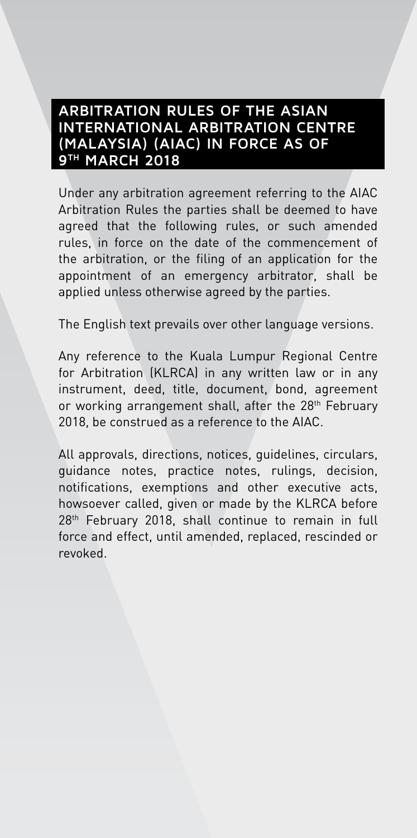#### **ARBITRATION RULES OF THE ASIAN INTERNATIONAL ARBITRATION CENTRE (MALAYSIA) (AIAC) IN FORCE AS OF 9TH MARCH 2018**

Under any arbitration agreement referring to the AIAC Arbitration Rules the parties shall be deemed to have agreed that the following rules, or such amended rules, in force on the date of the commencement of the arbitration, or the filing of an application for the appointment of an emergency arbitrator, shall be applied unless otherwise agreed by the parties.

The English text prevails over other language versions.

Any reference to the Kuala Lumpur Regional Centre for Arbitration (KLRCA) in any written law or in any instrument, deed, title, document, bond, agreement or working arrangement shall, after the 28<sup>th</sup> February 2018, be construed as a reference to the AIAC.

All approvals, directions, notices, guidelines, circulars, guidance notes, practice notes, rulings, decision, notifications, exemptions and other executive acts, howsoever called, given or made by the KLRCA before 28<sup>th</sup> February 2018, shall continue to remain in full force and effect, until amended, replaced, rescinded or revoked.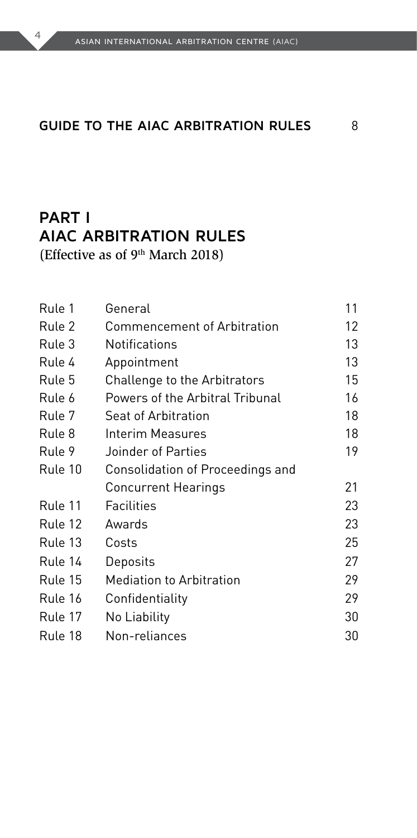#### **Guide to the AIAC Arbitration Rules** 8

### **Part I AIAC ARBITRATION RULES**

(Effective as of 9th March 2018)

| Rule 1  | General                          | 11 |
|---------|----------------------------------|----|
| Rule 2  | Commencement of Arbitration      | 12 |
| Rule 3  | Notifications                    | 13 |
| Rule 4  | Appointment                      | 13 |
| Rule 5  | Challenge to the Arbitrators     | 15 |
| Rule 6  | Powers of the Arbitral Tribunal  | 16 |
| Rule 7  | Seat of Arbitration              | 18 |
| Rule 8  | Interim Measures                 | 18 |
| Rule 9  | Joinder of Parties               | 19 |
| Rule 10 | Consolidation of Proceedings and |    |
|         | Concurrent Hearings              | 21 |
| Rule 11 | Facilities                       | 23 |
| Rule 12 | Awards                           | 23 |
| Rule 13 | Costs                            | 25 |
| Rule 14 | Deposits                         | 27 |
| Rule 15 | <b>Mediation to Arbitration</b>  | 29 |
| Rule 16 | Confidentiality                  | 29 |
| Rule 17 | No Liability                     | 30 |
| Rule 18 | Non-reliances                    | 30 |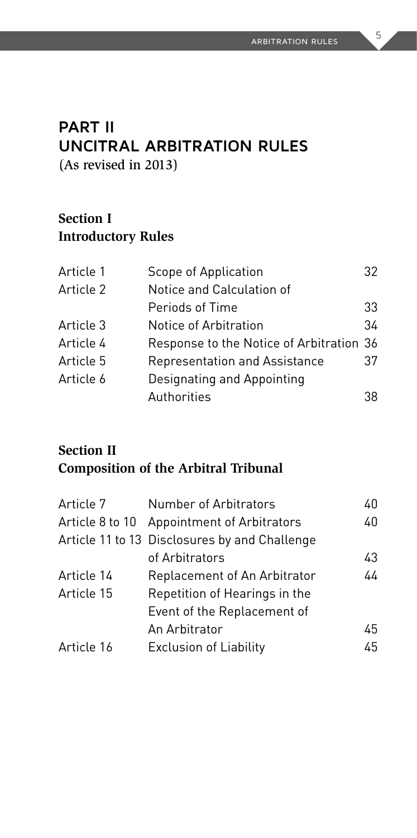### **Part II UNCITRAL ARBITRATION RULES**

(As revised in 2013)

#### **Section I Introductory Rules**

| Article 1 | Scope of Application                     | 32 |
|-----------|------------------------------------------|----|
| Article 2 | Notice and Calculation of                |    |
|           | Periods of Time                          | 33 |
| Article 3 | Notice of Arbitration                    | 34 |
| Article 4 | Response to the Notice of Arbitration 36 |    |
| Article 5 | Representation and Assistance            | 37 |
| Article 6 | Designating and Appointing               |    |
|           | Authorities                              | 38 |

#### **Section II Composition of the Arbitral Tribunal**

| Article 7  | Number of Arbitrators                         | 40 |
|------------|-----------------------------------------------|----|
|            | Article 8 to 10 Appointment of Arbitrators    | 40 |
|            | Article 11 to 13 Disclosures by and Challenge |    |
|            | of Arbitrators                                | 43 |
| Article 14 | Replacement of An Arbitrator                  | 44 |
| Article 15 | Repetition of Hearings in the                 |    |
|            | Event of the Replacement of                   |    |
|            | An Arbitrator                                 | 45 |
| Article 16 | <b>Exclusion of Liability</b>                 | 45 |
|            |                                               |    |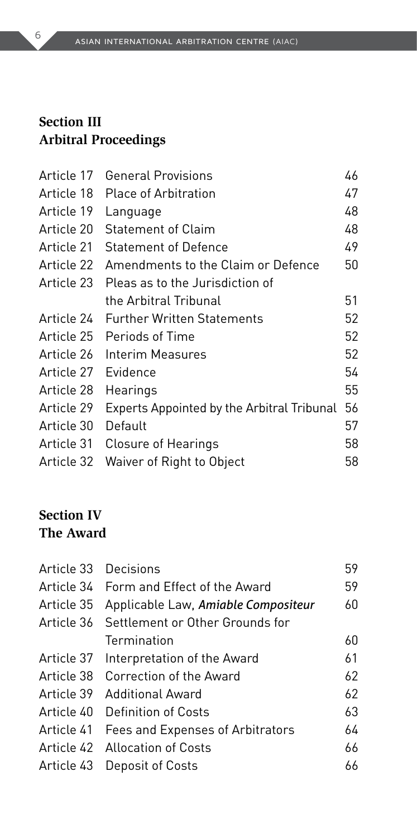#### **Section III Arbitral Proceedings**

| Article 17 | <b>General Provisions</b>                         | 46 |
|------------|---------------------------------------------------|----|
| Article 18 | <b>Place of Arbitration</b>                       | 47 |
| Article 19 | Language                                          | 48 |
| Article 20 | <b>Statement of Claim</b>                         | 48 |
| Article 21 | <b>Statement of Defence</b>                       | 49 |
| Article 22 | Amendments to the Claim or Defence                | 50 |
| Article 23 | Pleas as to the Jurisdiction of                   |    |
|            | the Arbitral Tribunal                             | 51 |
| Article 24 | <b>Further Written Statements</b>                 | 52 |
| Article 25 | Periods of Time                                   | 52 |
| Article 26 | Interim Measures                                  | 52 |
| Article 27 | Evidence                                          | 54 |
| Article 28 | Hearings                                          | 55 |
| Article 29 | <b>Experts Appointed by the Arbitral Tribunal</b> | 56 |
| Article 30 | Default                                           | 57 |
| Article 31 | Closure of Hearings                               | 58 |
| Article 32 | Waiver of Right to Object                         | 58 |

#### **Section IV The Award**

| Article 33 | Decisions                                   | 59 |
|------------|---------------------------------------------|----|
|            | Article 34 Form and Effect of the Award     | 59 |
| Article 35 | Applicable Law, Amiable Compositeur         | 60 |
|            | Article 36 Settlement or Other Grounds for  |    |
|            | Termination                                 | 60 |
| Article 37 | Interpretation of the Award                 | 61 |
| Article 38 | Correction of the Award                     | 62 |
| Article 39 | Additional Award                            | 62 |
|            | Article 40 Definition of Costs              | 63 |
|            | Article 41 Fees and Expenses of Arbitrators | 64 |
|            | Article 42 Allocation of Costs              | 66 |
| Article 43 | Deposit of Costs                            | 66 |
|            |                                             |    |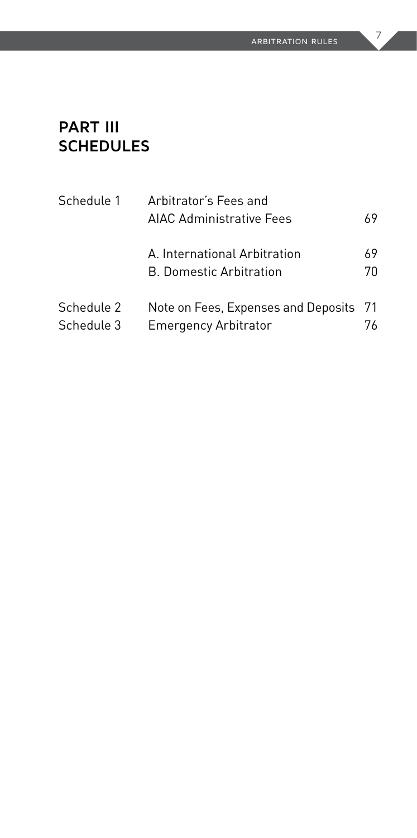#### **Part III SCHEDULES**

| Schedule 1               | Arbitrator's Fees and<br>AIAC Administrative Fees                     | 69       |
|--------------------------|-----------------------------------------------------------------------|----------|
|                          | A. International Arbitration<br><b>B. Domestic Arbitration</b>        | 69<br>70 |
| Schedule 2<br>Schedule 3 | Note on Fees, Expenses and Deposits 71<br><b>Emergency Arbitrator</b> | 76       |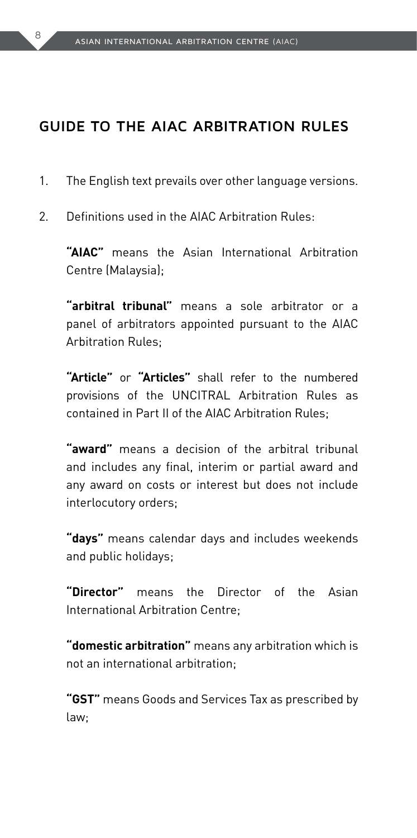#### **Guide to the AIAC Arbitration Rules**

- 1. The English text prevails over other language versions.
- 2. Definitions used in the AIAC Arbitration Rules:

**"AIAC"** means the Asian International Arbitration Centre (Malaysia);

 **"arbitral tribunal"** means a sole arbitrator or a panel of arbitrators appointed pursuant to the AIAC Arbitration Rules;

 **"Article"** or **"Articles"** shall refer to the numbered provisions of the UNCITRAL Arbitration Rules as contained in Part II of the AIAC Arbitration Rules;

 **"award"** means a decision of the arbitral tribunal and includes any final, interim or partial award and any award on costs or interest but does not include interlocutory orders;

 **"days"** means calendar days and includes weekends and public holidays;

 **"Director"** means the Director of the Asian International Arbitration Centre;

 **"domestic arbitration"** means any arbitration which is not an international arbitration;

 **"GST"** means Goods and Services Tax as prescribed by law;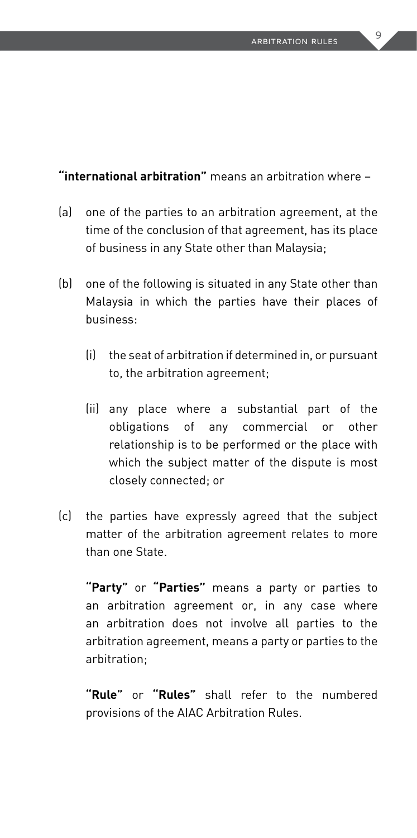**"international arbitration"** means an arbitration where –

- (a) one of the parties to an arbitration agreement, at the time of the conclusion of that agreement, has its place of business in any State other than Malaysia;
- (b) one of the following is situated in any State other than Malaysia in which the parties have their places of business:
	- (i) the seat of arbitration if determined in, or pursuant to, the arbitration agreement;
	- (ii) any place where a substantial part of the obligations of any commercial or other relationship is to be performed or the place with which the subject matter of the dispute is most closely connected; or
- (c) the parties have expressly agreed that the subject matter of the arbitration agreement relates to more than one State.

 **"Party"** or **"Parties"** means a party or parties to an arbitration agreement or, in any case where an arbitration does not involve all parties to the arbitration agreement, means a party or parties to the arbitration;

 **"Rule"** or **"Rules"** shall refer to the numbered provisions of the AIAC Arbitration Rules.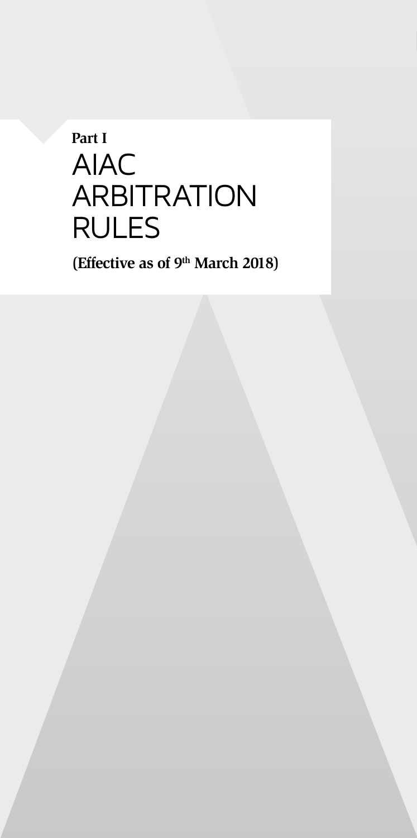# **Part I** AIAC **ARBITRATION** RULES

**(Effective as of 9th March 2018)**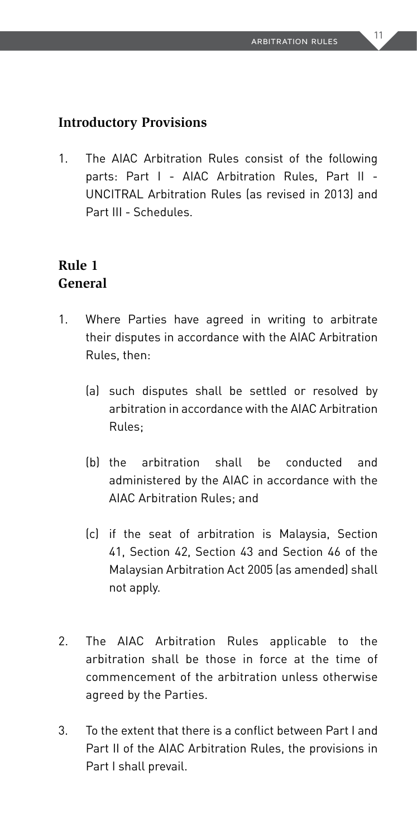#### **Introductory Provisions**

1. The AIAC Arbitration Rules consist of the following parts: Part I - AIAC Arbitration Rules, Part II - UNCITRAL Arbitration Rules (as revised in 2013) and Part III - Schedules.

#### **Rule 1 General**

- 1. Where Parties have agreed in writing to arbitrate their disputes in accordance with the AIAC Arbitration Rules, then:
	- (a) such disputes shall be settled or resolved by arbitration in accordance with the AIAC Arbitration Rules;
	- (b) the arbitration shall be conducted and administered by the AIAC in accordance with the AIAC Arbitration Rules; and
	- (c) if the seat of arbitration is Malaysia, Section 41, Section 42, Section 43 and Section 46 of the Malaysian Arbitration Act 2005 (as amended) shall not apply.
- 2. The AIAC Arbitration Rules applicable to the arbitration shall be those in force at the time of commencement of the arbitration unless otherwise agreed by the Parties.
- 3. To the extent that there is a conflict between Part I and Part II of the AIAC Arbitration Rules, the provisions in Part I shall prevail.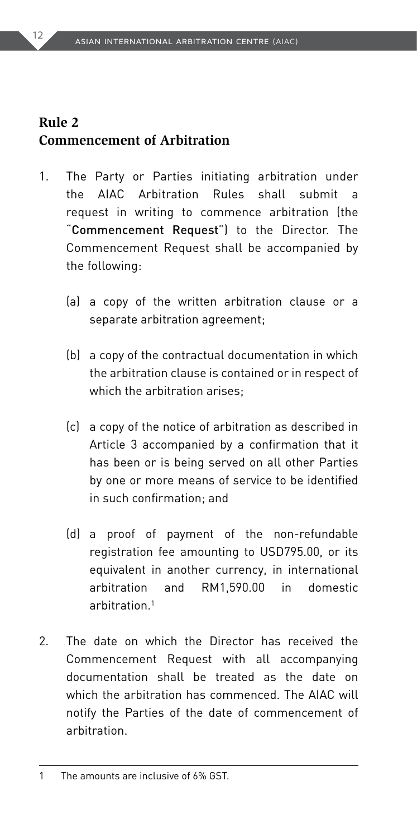#### **Rule 2 Commencement of Arbitration**

- 1. The Party or Parties initiating arbitration under the AIAC Arbitration Rules shall submit a request in writing to commence arbitration (the "Commencement Request") to the Director. The Commencement Request shall be accompanied by the following:
	- (a) a copy of the written arbitration clause or a separate arbitration agreement;
	- (b) a copy of the contractual documentation in which the arbitration clause is contained or in respect of which the arbitration arises;
	- (c) a copy of the notice of arbitration as described in Article 3 accompanied by a confirmation that it has been or is being served on all other Parties by one or more means of service to be identified in such confirmation; and
	- (d) a proof of payment of the non-refundable registration fee amounting to USD795.00, or its equivalent in another currency, in international arbitration and RM1,590.00 in domestic arbitration.1
- 2. The date on which the Director has received the Commencement Request with all accompanying documentation shall be treated as the date on which the arbitration has commenced. The AIAC will notify the Parties of the date of commencement of arbitration.

<sup>1</sup> The amounts are inclusive of 6% GST.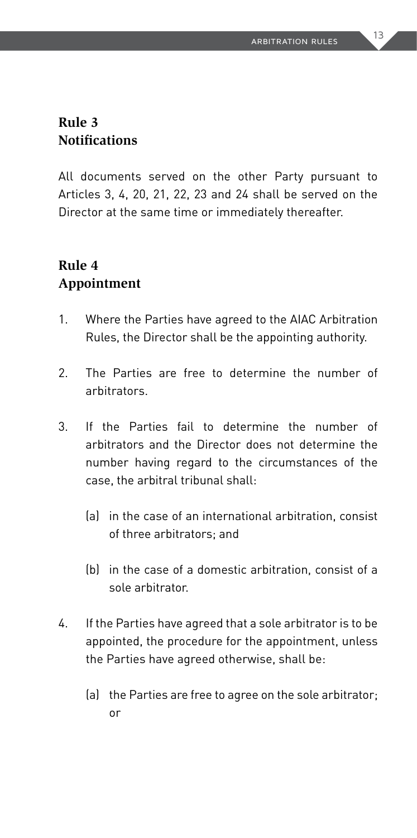#### **Rule 3 Notifications**

All documents served on the other Party pursuant to Articles 3, 4, 20, 21, 22, 23 and 24 shall be served on the Director at the same time or immediately thereafter.

#### **Rule 4 Appointment**

- 1. Where the Parties have agreed to the AIAC Arbitration Rules, the Director shall be the appointing authority.
- 2. The Parties are free to determine the number of arbitrators.
- 3. If the Parties fail to determine the number of arbitrators and the Director does not determine the number having regard to the circumstances of the case, the arbitral tribunal shall:
	- (a) in the case of an international arbitration, consist of three arbitrators; and
	- (b) in the case of a domestic arbitration, consist of a sole arbitrator.
- 4. If the Parties have agreed that a sole arbitrator is to be appointed, the procedure for the appointment, unless the Parties have agreed otherwise, shall be:
	- (a) the Parties are free to agree on the sole arbitrator; or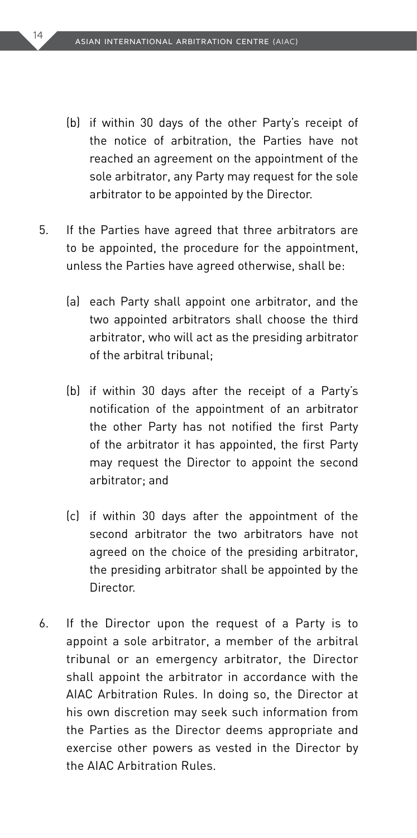- (b) if within 30 days of the other Party's receipt of the notice of arbitration, the Parties have not reached an agreement on the appointment of the sole arbitrator, any Party may request for the sole arbitrator to be appointed by the Director.
- 5. If the Parties have agreed that three arbitrators are to be appointed, the procedure for the appointment, unless the Parties have agreed otherwise, shall be:
	- (a) each Party shall appoint one arbitrator, and the two appointed arbitrators shall choose the third arbitrator, who will act as the presiding arbitrator of the arbitral tribunal;
	- (b) if within 30 days after the receipt of a Party's notification of the appointment of an arbitrator the other Party has not notified the first Party of the arbitrator it has appointed, the first Party may request the Director to appoint the second arbitrator; and
	- (c) if within 30 days after the appointment of the second arbitrator the two arbitrators have not agreed on the choice of the presiding arbitrator, the presiding arbitrator shall be appointed by the Director.
- 6. If the Director upon the request of a Party is to appoint a sole arbitrator, a member of the arbitral tribunal or an emergency arbitrator, the Director shall appoint the arbitrator in accordance with the AIAC Arbitration Rules. In doing so, the Director at his own discretion may seek such information from the Parties as the Director deems appropriate and exercise other powers as vested in the Director by the AIAC Arbitration Rules.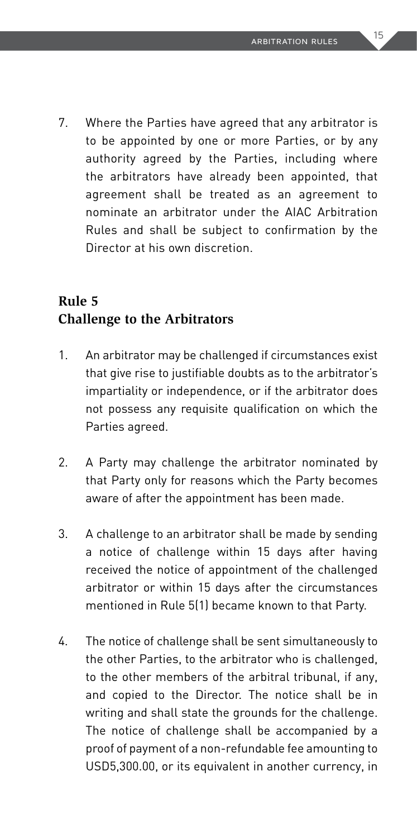7. Where the Parties have agreed that any arbitrator is to be appointed by one or more Parties, or by any authority agreed by the Parties, including where the arbitrators have already been appointed, that agreement shall be treated as an agreement to nominate an arbitrator under the AIAC Arbitration Rules and shall be subject to confirmation by the Director at his own discretion.

#### **Rule 5 Challenge to the Arbitrators**

- 1. An arbitrator may be challenged if circumstances exist that give rise to justifiable doubts as to the arbitrator's impartiality or independence, or if the arbitrator does not possess any requisite qualification on which the Parties agreed.
- 2. A Party may challenge the arbitrator nominated by that Party only for reasons which the Party becomes aware of after the appointment has been made.
- 3. A challenge to an arbitrator shall be made by sending a notice of challenge within 15 days after having received the notice of appointment of the challenged arbitrator or within 15 days after the circumstances mentioned in Rule 5(1) became known to that Party.
- 4. The notice of challenge shall be sent simultaneously to the other Parties, to the arbitrator who is challenged, to the other members of the arbitral tribunal, if any, and copied to the Director. The notice shall be in writing and shall state the grounds for the challenge. The notice of challenge shall be accompanied by a proof of payment of a non-refundable fee amounting to USD5,300.00, or its equivalent in another currency, in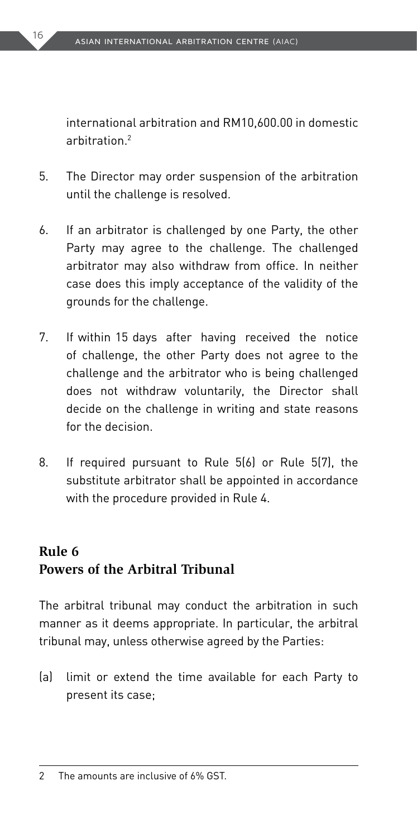international arbitration and RM10,600.00 in domestic arbitration.<sup>2</sup>

- 5. The Director may order suspension of the arbitration until the challenge is resolved.
- 6. If an arbitrator is challenged by one Party, the other Party may agree to the challenge. The challenged arbitrator may also withdraw from office. In neither case does this imply acceptance of the validity of the grounds for the challenge.
- 7. If within 15 days after having received the notice of challenge, the other Party does not agree to the challenge and the arbitrator who is being challenged does not withdraw voluntarily, the Director shall decide on the challenge in writing and state reasons for the decision.
- 8. If required pursuant to Rule 5(6) or Rule 5(7), the substitute arbitrator shall be appointed in accordance with the procedure provided in Rule 4.

#### **Rule 6 Powers of the Arbitral Tribunal**

The arbitral tribunal may conduct the arbitration in such manner as it deems appropriate. In particular, the arbitral tribunal may, unless otherwise agreed by the Parties:

(a) limit or extend the time available for each Party to present its case;

<sup>2</sup> The amounts are inclusive of 6% GST.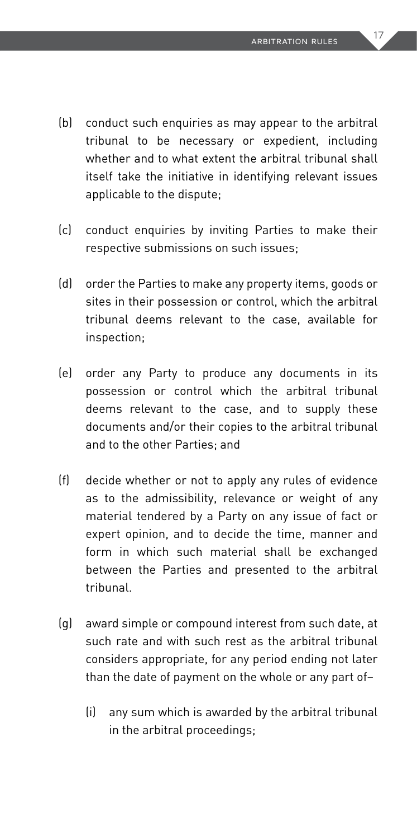- (b) conduct such enquiries as may appear to the arbitral tribunal to be necessary or expedient, including whether and to what extent the arbitral tribunal shall itself take the initiative in identifying relevant issues applicable to the dispute;
- (c) conduct enquiries by inviting Parties to make their respective submissions on such issues;
- (d) order the Parties to make any property items, goods or sites in their possession or control, which the arbitral tribunal deems relevant to the case, available for inspection;
- (e) order any Party to produce any documents in its possession or control which the arbitral tribunal deems relevant to the case, and to supply these documents and/or their copies to the arbitral tribunal and to the other Parties; and
- (f) decide whether or not to apply any rules of evidence as to the admissibility, relevance or weight of any material tendered by a Party on any issue of fact or expert opinion, and to decide the time, manner and form in which such material shall be exchanged between the Parties and presented to the arbitral tribunal.
- (g) award simple or compound interest from such date, at such rate and with such rest as the arbitral tribunal considers appropriate, for any period ending not later than the date of payment on the whole or any part of–
	- (i) any sum which is awarded by the arbitral tribunal in the arbitral proceedings;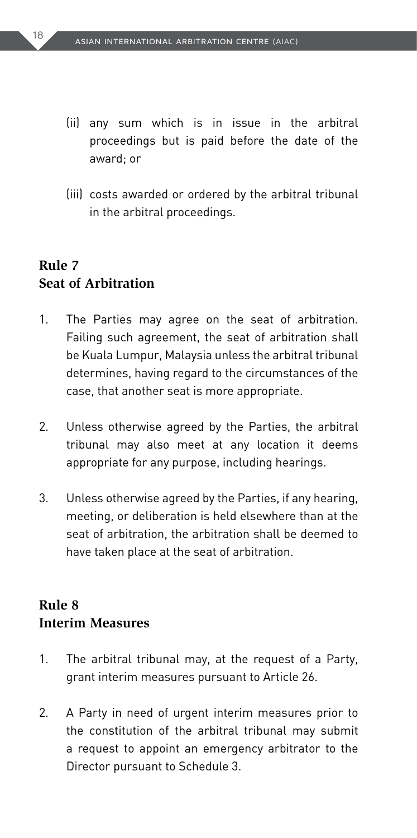- (ii) any sum which is in issue in the arbitral proceedings but is paid before the date of the award; or
- (iii) costs awarded or ordered by the arbitral tribunal in the arbitral proceedings.

#### **Rule 7 Seat of Arbitration**

- 1. The Parties may agree on the seat of arbitration. Failing such agreement, the seat of arbitration shall be Kuala Lumpur, Malaysia unless the arbitral tribunal determines, having regard to the circumstances of the case, that another seat is more appropriate.
- 2. Unless otherwise agreed by the Parties, the arbitral tribunal may also meet at any location it deems appropriate for any purpose, including hearings.
- 3. Unless otherwise agreed by the Parties, if any hearing, meeting, or deliberation is held elsewhere than at the seat of arbitration, the arbitration shall be deemed to have taken place at the seat of arbitration.

#### **Rule 8 Interim Measures**

- 1. The arbitral tribunal may, at the request of a Party, grant interim measures pursuant to Article 26.
- 2. A Party in need of urgent interim measures prior to the constitution of the arbitral tribunal may submit a request to appoint an emergency arbitrator to the Director pursuant to Schedule 3.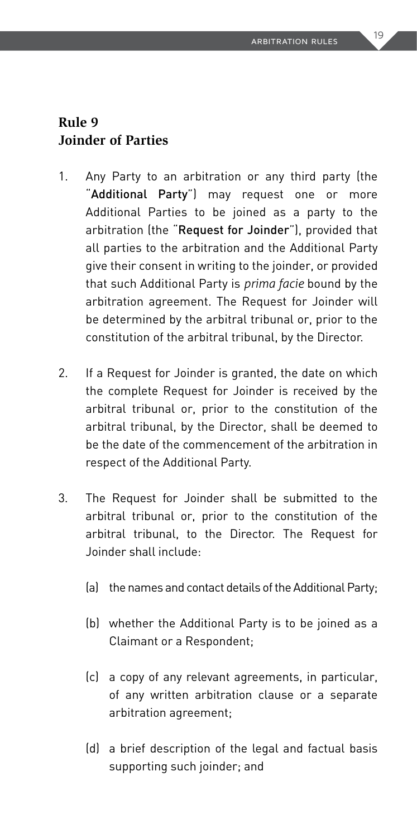#### **Rule 9 Joinder of Parties**

- 1. Any Party to an arbitration or any third party (the "Additional Party") may request one or more Additional Parties to be joined as a party to the arbitration (the "Request for Joinder"), provided that all parties to the arbitration and the Additional Party give their consent in writing to the joinder, or provided that such Additional Party is *prima facie* bound by the arbitration agreement. The Request for Joinder will be determined by the arbitral tribunal or, prior to the constitution of the arbitral tribunal, by the Director.
- 2. If a Request for Joinder is granted, the date on which the complete Request for Joinder is received by the arbitral tribunal or, prior to the constitution of the arbitral tribunal, by the Director, shall be deemed to be the date of the commencement of the arbitration in respect of the Additional Party.
- 3. The Request for Joinder shall be submitted to the arbitral tribunal or, prior to the constitution of the arbitral tribunal, to the Director. The Request for Joinder shall include:
	- (a) the names and contact details of the Additional Party;
	- (b) whether the Additional Party is to be joined as a Claimant or a Respondent;
	- (c) a copy of any relevant agreements, in particular, of any written arbitration clause or a separate arbitration agreement;
	- (d) a brief description of the legal and factual basis supporting such joinder; and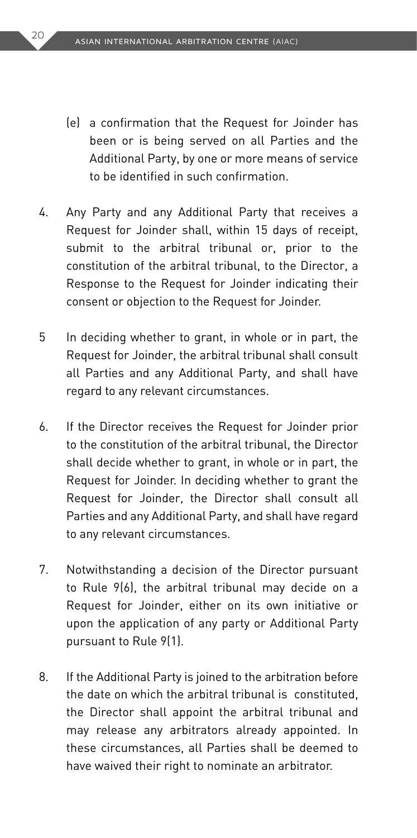- (e) a confirmation that the Request for Joinder has been or is being served on all Parties and the Additional Party, by one or more means of service to be identified in such confirmation.
- 4. Any Party and any Additional Party that receives a Request for Joinder shall, within 15 days of receipt, submit to the arbitral tribunal or, prior to the constitution of the arbitral tribunal, to the Director, a Response to the Request for Joinder indicating their consent or objection to the Request for Joinder.
- 5 In deciding whether to grant, in whole or in part, the Request for Joinder, the arbitral tribunal shall consult all Parties and any Additional Party, and shall have regard to any relevant circumstances.
- 6. If the Director receives the Request for Joinder prior to the constitution of the arbitral tribunal, the Director shall decide whether to grant, in whole or in part, the Request for Joinder. In deciding whether to grant the Request for Joinder, the Director shall consult all Parties and any Additional Party, and shall have regard to any relevant circumstances.
- 7. Notwithstanding a decision of the Director pursuant to Rule 9(6), the arbitral tribunal may decide on a Request for Joinder, either on its own initiative or upon the application of any party or Additional Party pursuant to Rule 9(1).
- 8. If the Additional Party is joined to the arbitration before the date on which the arbitral tribunal is constituted, the Director shall appoint the arbitral tribunal and may release any arbitrators already appointed. In these circumstances, all Parties shall be deemed to have waived their right to nominate an arbitrator.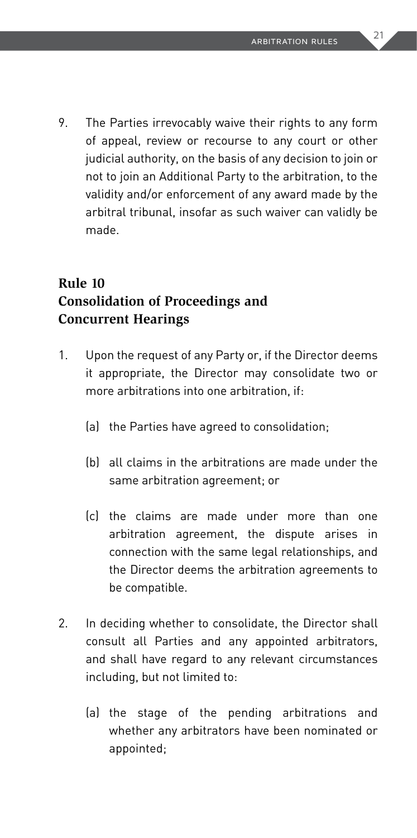9. The Parties irrevocably waive their rights to any form of appeal, review or recourse to any court or other judicial authority, on the basis of any decision to join or not to join an Additional Party to the arbitration, to the validity and/or enforcement of any award made by the arbitral tribunal, insofar as such waiver can validly be made.

#### **Rule 10 Consolidation of Proceedings and Concurrent Hearings**

- 1. Upon the request of any Party or, if the Director deems it appropriate, the Director may consolidate two or more arbitrations into one arbitration, if:
	- (a) the Parties have agreed to consolidation;
	- (b) all claims in the arbitrations are made under the same arbitration agreement; or
	- (c) the claims are made under more than one arbitration agreement, the dispute arises in connection with the same legal relationships, and the Director deems the arbitration agreements to be compatible.
- 2. In deciding whether to consolidate, the Director shall consult all Parties and any appointed arbitrators, and shall have regard to any relevant circumstances including, but not limited to:
	- (a) the stage of the pending arbitrations and whether any arbitrators have been nominated or appointed;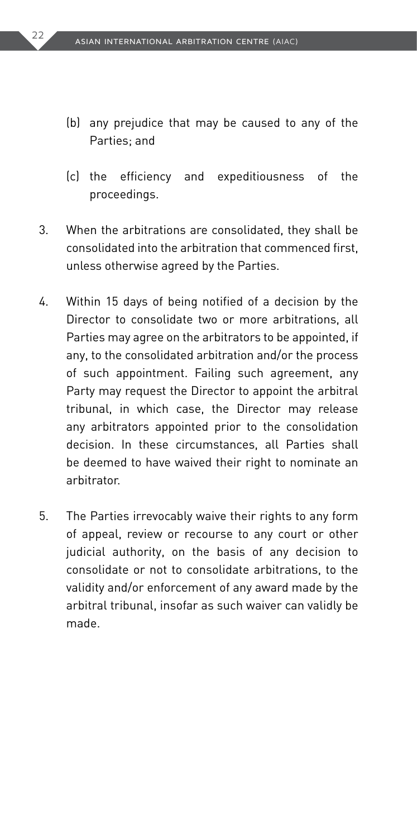- (b) any prejudice that may be caused to any of the Parties; and
- (c) the efficiency and expeditiousness of the proceedings.
- 3. When the arbitrations are consolidated, they shall be consolidated into the arbitration that commenced first, unless otherwise agreed by the Parties.
- 4. Within 15 days of being notified of a decision by the Director to consolidate two or more arbitrations, all Parties may agree on the arbitrators to be appointed, if any, to the consolidated arbitration and/or the process of such appointment. Failing such agreement, any Party may request the Director to appoint the arbitral tribunal, in which case, the Director may release any arbitrators appointed prior to the consolidation decision. In these circumstances, all Parties shall be deemed to have waived their right to nominate an arbitrator.
- 5. The Parties irrevocably waive their rights to any form of appeal, review or recourse to any court or other judicial authority, on the basis of any decision to consolidate or not to consolidate arbitrations, to the validity and/or enforcement of any award made by the arbitral tribunal, insofar as such waiver can validly be made.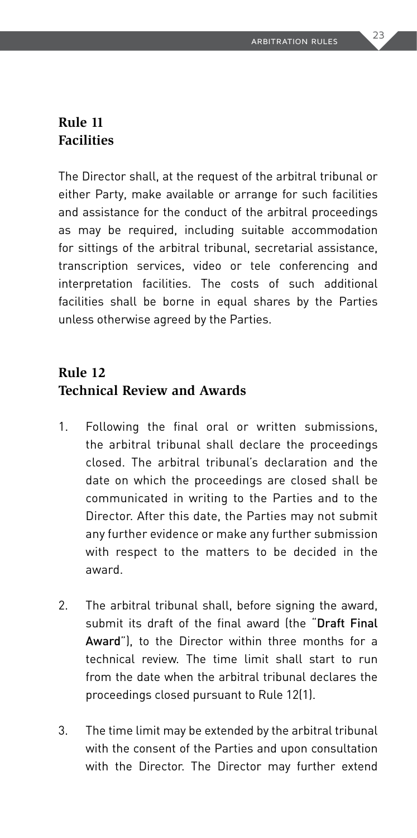#### **Rule 11 Facilities**

The Director shall, at the request of the arbitral tribunal or either Party, make available or arrange for such facilities and assistance for the conduct of the arbitral proceedings as may be required, including suitable accommodation for sittings of the arbitral tribunal, secretarial assistance, transcription services, video or tele conferencing and interpretation facilities. The costs of such additional facilities shall be borne in equal shares by the Parties unless otherwise agreed by the Parties.

#### **Rule 12 Technical Review and Awards**

- 1. Following the final oral or written submissions, the arbitral tribunal shall declare the proceedings closed. The arbitral tribunal's declaration and the date on which the proceedings are closed shall be communicated in writing to the Parties and to the Director. After this date, the Parties may not submit any further evidence or make any further submission with respect to the matters to be decided in the award.
- 2. The arbitral tribunal shall, before signing the award, submit its draft of the final award (the "Draft Final Award"), to the Director within three months for a technical review. The time limit shall start to run from the date when the arbitral tribunal declares the proceedings closed pursuant to Rule 12(1).
- 3. The time limit may be extended by the arbitral tribunal with the consent of the Parties and upon consultation with the Director. The Director may further extend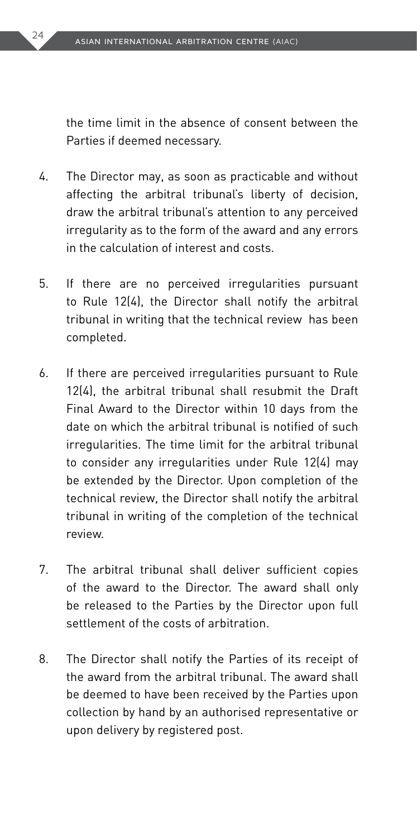the time limit in the absence of consent between the Parties if deemed necessary.

- 4. The Director may, as soon as practicable and without affecting the arbitral tribunal's liberty of decision, draw the arbitral tribunal's attention to any perceived irregularity as to the form of the award and any errors in the calculation of interest and costs.
- 5. If there are no perceived irregularities pursuant to Rule 12(4), the Director shall notify the arbitral tribunal in writing that the technical review has been completed.
- 6. If there are perceived irregularities pursuant to Rule 12(4), the arbitral tribunal shall resubmit the Draft Final Award to the Director within 10 days from the date on which the arbitral tribunal is notified of such irregularities. The time limit for the arbitral tribunal to consider any irregularities under Rule 12(4) may be extended by the Director. Upon completion of the technical review, the Director shall notify the arbitral tribunal in writing of the completion of the technical review.
- 7. The arbitral tribunal shall deliver sufficient copies of the award to the Director. The award shall only be released to the Parties by the Director upon full settlement of the costs of arbitration.
- 8. The Director shall notify the Parties of its receipt of the award from the arbitral tribunal. The award shall be deemed to have been received by the Parties upon collection by hand by an authorised representative or upon delivery by registered post.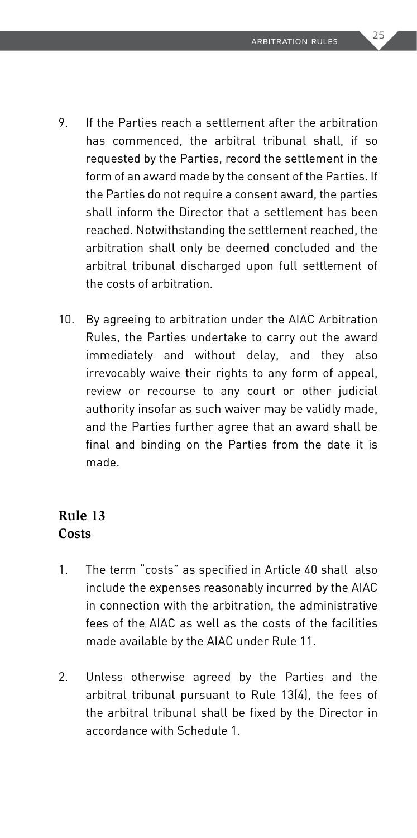- 9. If the Parties reach a settlement after the arbitration has commenced, the arbitral tribunal shall, if so requested by the Parties, record the settlement in the form of an award made by the consent of the Parties. If the Parties do not require a consent award, the parties shall inform the Director that a settlement has been reached. Notwithstanding the settlement reached, the arbitration shall only be deemed concluded and the arbitral tribunal discharged upon full settlement of the costs of arbitration.
- 10. By agreeing to arbitration under the AIAC Arbitration Rules, the Parties undertake to carry out the award immediately and without delay, and they also irrevocably waive their rights to any form of appeal, review or recourse to any court or other judicial authority insofar as such waiver may be validly made, and the Parties further agree that an award shall be final and binding on the Parties from the date it is made.

#### **Rule 13 Costs**

- 1. The term "costs" as specified in Article 40 shall also include the expenses reasonably incurred by the AIAC in connection with the arbitration, the administrative fees of the AIAC as well as the costs of the facilities made available by the AIAC under Rule 11.
- 2. Unless otherwise agreed by the Parties and the arbitral tribunal pursuant to Rule 13(4), the fees of the arbitral tribunal shall be fixed by the Director in accordance with Schedule 1.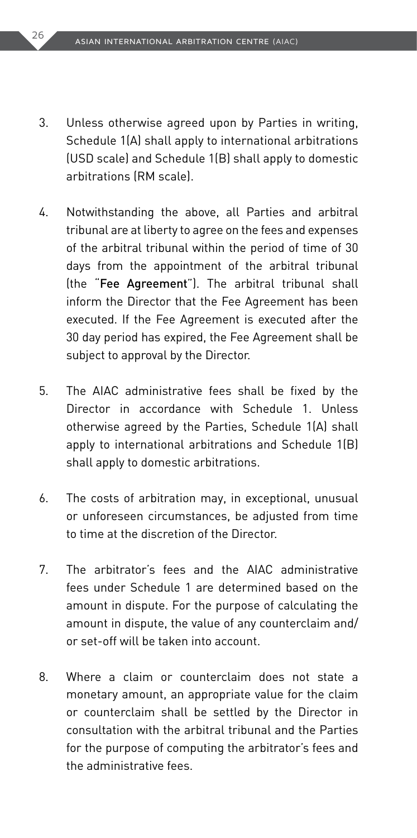- 3. Unless otherwise agreed upon by Parties in writing, Schedule 1(A) shall apply to international arbitrations (USD scale) and Schedule 1(B) shall apply to domestic arbitrations (RM scale).
- 4. Notwithstanding the above, all Parties and arbitral tribunal are at liberty to agree on the fees and expenses of the arbitral tribunal within the period of time of 30 days from the appointment of the arbitral tribunal (the "Fee Agreement"). The arbitral tribunal shall inform the Director that the Fee Agreement has been executed. If the Fee Agreement is executed after the 30 day period has expired, the Fee Agreement shall be subject to approval by the Director.
- 5. The AIAC administrative fees shall be fixed by the Director in accordance with Schedule 1. Unless otherwise agreed by the Parties, Schedule 1(A) shall apply to international arbitrations and Schedule 1(B) shall apply to domestic arbitrations.
- 6. The costs of arbitration may, in exceptional, unusual or unforeseen circumstances, be adjusted from time to time at the discretion of the Director.
- 7. The arbitrator's fees and the AIAC administrative fees under Schedule 1 are determined based on the amount in dispute. For the purpose of calculating the amount in dispute, the value of any counterclaim and/ or set-off will be taken into account.
- 8. Where a claim or counterclaim does not state a monetary amount, an appropriate value for the claim or counterclaim shall be settled by the Director in consultation with the arbitral tribunal and the Parties for the purpose of computing the arbitrator's fees and the administrative fees.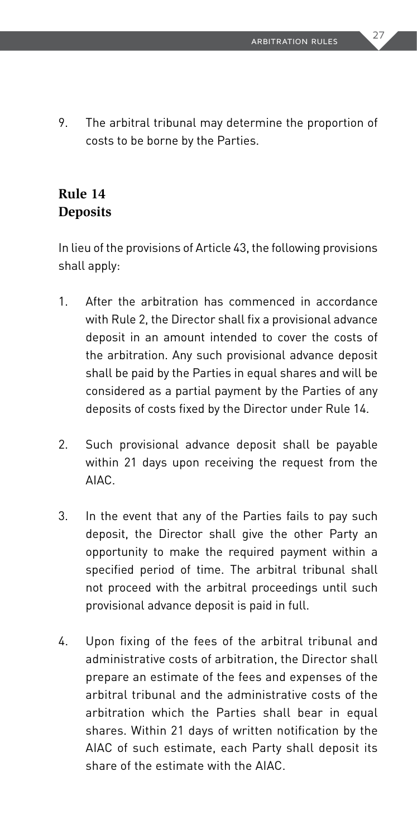9. The arbitral tribunal may determine the proportion of costs to be borne by the Parties.

#### **Rule 14 Deposits**

In lieu of the provisions of Article 43, the following provisions shall apply:

- 1. After the arbitration has commenced in accordance with Rule 2, the Director shall fix a provisional advance deposit in an amount intended to cover the costs of the arbitration. Any such provisional advance deposit shall be paid by the Parties in equal shares and will be considered as a partial payment by the Parties of any deposits of costs fixed by the Director under Rule 14.
- 2. Such provisional advance deposit shall be payable within 21 days upon receiving the request from the AIAC.
- 3. In the event that any of the Parties fails to pay such deposit, the Director shall give the other Party an opportunity to make the required payment within a specified period of time. The arbitral tribunal shall not proceed with the arbitral proceedings until such provisional advance deposit is paid in full.
- 4. Upon fixing of the fees of the arbitral tribunal and administrative costs of arbitration, the Director shall prepare an estimate of the fees and expenses of the arbitral tribunal and the administrative costs of the arbitration which the Parties shall bear in equal shares. Within 21 days of written notification by the AIAC of such estimate, each Party shall deposit its share of the estimate with the AIAC.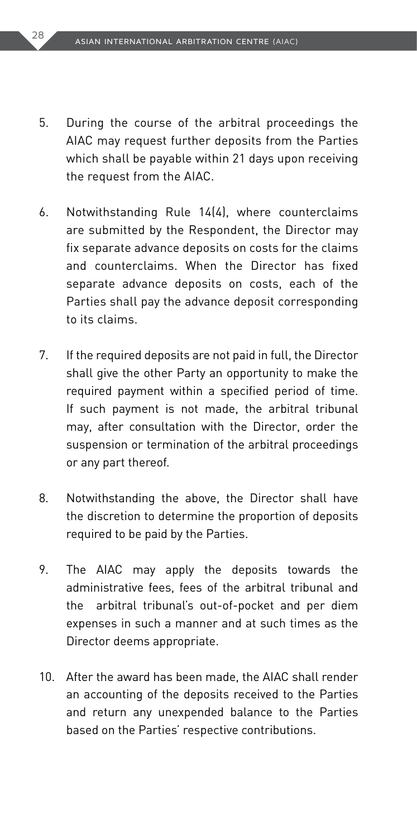- 5. During the course of the arbitral proceedings the AIAC may request further deposits from the Parties which shall be payable within 21 days upon receiving the request from the AIAC.
- 6. Notwithstanding Rule 14(4), where counterclaims are submitted by the Respondent, the Director may fix separate advance deposits on costs for the claims and counterclaims. When the Director has fixed separate advance deposits on costs, each of the Parties shall pay the advance deposit corresponding to its claims.
- 7. If the required deposits are not paid in full, the Director shall give the other Party an opportunity to make the required payment within a specified period of time. If such payment is not made, the arbitral tribunal may, after consultation with the Director, order the suspension or termination of the arbitral proceedings or any part thereof.
- 8. Notwithstanding the above, the Director shall have the discretion to determine the proportion of deposits required to be paid by the Parties.
- 9. The AIAC may apply the deposits towards the administrative fees, fees of the arbitral tribunal and the arbitral tribunal's out-of-pocket and per diem expenses in such a manner and at such times as the Director deems appropriate.
- 10. After the award has been made, the AIAC shall render an accounting of the deposits received to the Parties and return any unexpended balance to the Parties based on the Parties' respective contributions.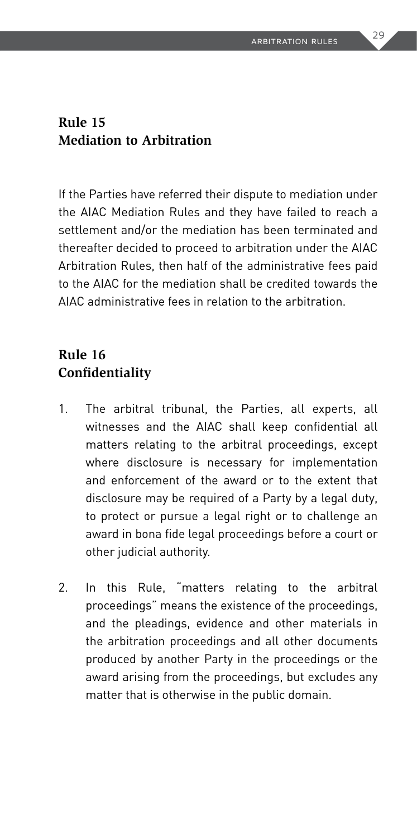#### **Rule 15 Mediation to Arbitration**

If the Parties have referred their dispute to mediation under the AIAC Mediation Rules and they have failed to reach a settlement and/or the mediation has been terminated and thereafter decided to proceed to arbitration under the AIAC Arbitration Rules, then half of the administrative fees paid to the AIAC for the mediation shall be credited towards the AIAC administrative fees in relation to the arbitration.

#### **Rule 16 Confidentiality**

- 1. The arbitral tribunal, the Parties, all experts, all witnesses and the AIAC shall keep confidential all matters relating to the arbitral proceedings, except where disclosure is necessary for implementation and enforcement of the award or to the extent that disclosure may be required of a Party by a legal duty, to protect or pursue a legal right or to challenge an award in bona fide legal proceedings before a court or other judicial authority.
- 2. In this Rule, "matters relating to the arbitral proceedings" means the existence of the proceedings, and the pleadings, evidence and other materials in the arbitration proceedings and all other documents produced by another Party in the proceedings or the award arising from the proceedings, but excludes any matter that is otherwise in the public domain.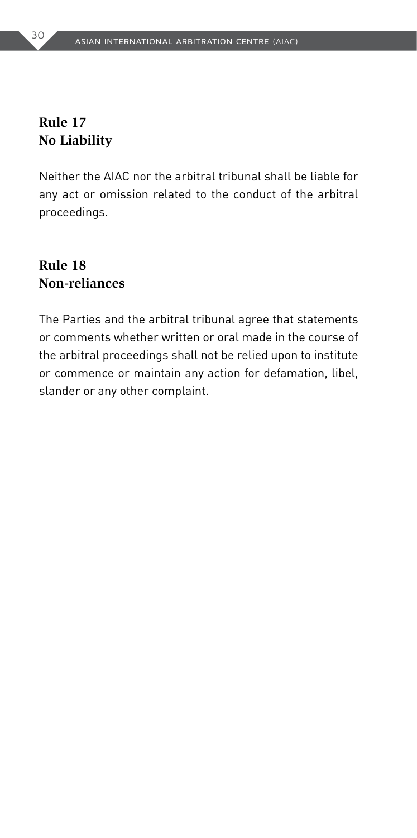#### **Rule 17 No Liability**

Neither the AIAC nor the arbitral tribunal shall be liable for any act or omission related to the conduct of the arbitral proceedings.

#### **Rule 18 Non-reliances**

The Parties and the arbitral tribunal agree that statements or comments whether written or oral made in the course of the arbitral proceedings shall not be relied upon to institute or commence or maintain any action for defamation, libel, slander or any other complaint.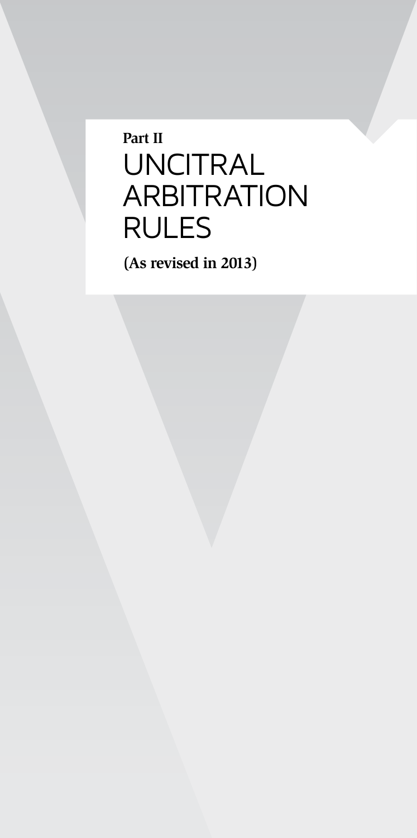## **Part II** UNCITRAL ARBITRATION RULES

**(As revised in 2013)**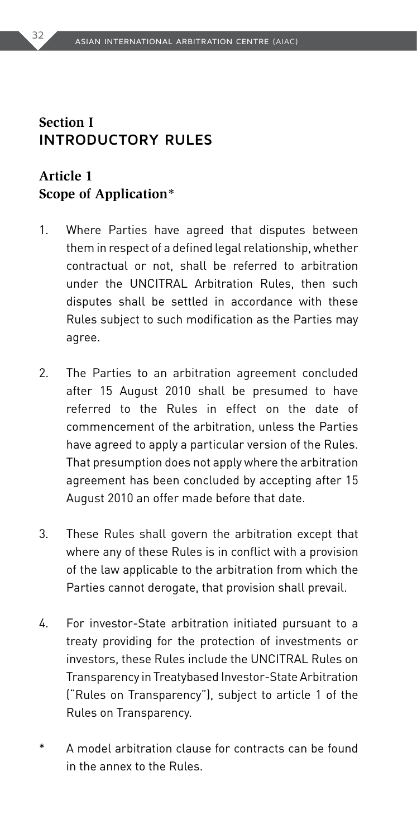#### **Section I INTRODUCTORY RULES**

#### **Article 1 Scope of Application\***

- 1. Where Parties have agreed that disputes between them in respect of a defined legal relationship, whether contractual or not, shall be referred to arbitration under the UNCITRAL Arbitration Rules, then such disputes shall be settled in accordance with these Rules subject to such modification as the Parties may agree.
- 2. The Parties to an arbitration agreement concluded after 15 August 2010 shall be presumed to have referred to the Rules in effect on the date of commencement of the arbitration, unless the Parties have agreed to apply a particular version of the Rules. That presumption does not apply where the arbitration agreement has been concluded by accepting after 15 August 2010 an offer made before that date.
- 3. These Rules shall govern the arbitration except that where any of these Rules is in conflict with a provision of the law applicable to the arbitration from which the Parties cannot derogate, that provision shall prevail.
- 4. For investor-State arbitration initiated pursuant to a treaty providing for the protection of investments or investors, these Rules include the UNCITRAL Rules on Transparency in Treatybased Investor-State Arbitration ("Rules on Transparency"), subject to article 1 of the Rules on Transparency.
- A model arbitration clause for contracts can be found in the annex to the Rules.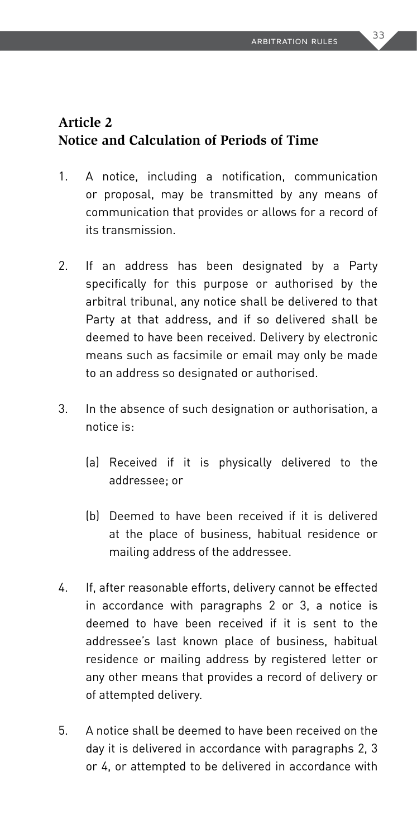#### **Article 2 Notice and Calculation of Periods of Time**

- 1. A notice, including a notification, communication or proposal, may be transmitted by any means of communication that provides or allows for a record of its transmission.
- 2. If an address has been designated by a Party specifically for this purpose or authorised by the arbitral tribunal, any notice shall be delivered to that Party at that address, and if so delivered shall be deemed to have been received. Delivery by electronic means such as facsimile or email may only be made to an address so designated or authorised.
- 3. In the absence of such designation or authorisation, a notice is:
	- (a) Received if it is physically delivered to the addressee; or
	- (b) Deemed to have been received if it is delivered at the place of business, habitual residence or mailing address of the addressee.
- 4. If, after reasonable efforts, delivery cannot be effected in accordance with paragraphs 2 or 3, a notice is deemed to have been received if it is sent to the addressee's last known place of business, habitual residence or mailing address by registered letter or any other means that provides a record of delivery or of attempted delivery.
- 5. A notice shall be deemed to have been received on the day it is delivered in accordance with paragraphs 2, 3 or 4, or attempted to be delivered in accordance with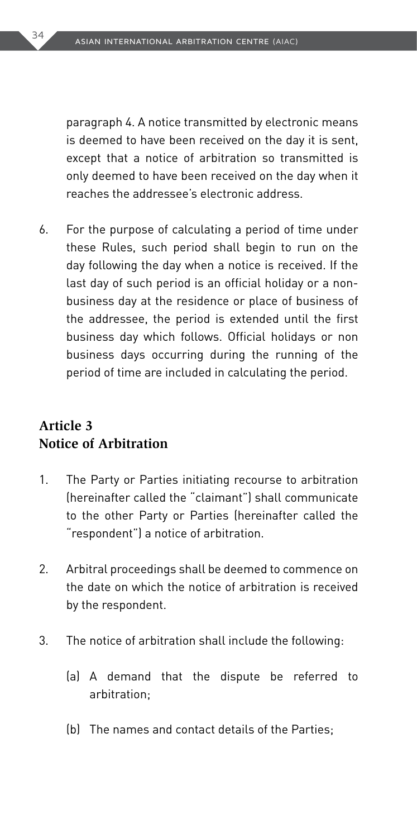paragraph 4. A notice transmitted by electronic means is deemed to have been received on the day it is sent, except that a notice of arbitration so transmitted is only deemed to have been received on the day when it reaches the addressee's electronic address.

6. For the purpose of calculating a period of time under these Rules, such period shall begin to run on the day following the day when a notice is received. If the last day of such period is an official holiday or a nonbusiness day at the residence or place of business of the addressee, the period is extended until the first business day which follows. Official holidays or non business days occurring during the running of the period of time are included in calculating the period.

#### **Article 3 Notice of Arbitration**

- 1. The Party or Parties initiating recourse to arbitration (hereinafter called the "claimant") shall communicate to the other Party or Parties (hereinafter called the "respondent") a notice of arbitration.
- 2. Arbitral proceedings shall be deemed to commence on the date on which the notice of arbitration is received by the respondent.
- 3. The notice of arbitration shall include the following:
	- (a) A demand that the dispute be referred to arbitration;
	- (b) The names and contact details of the Parties;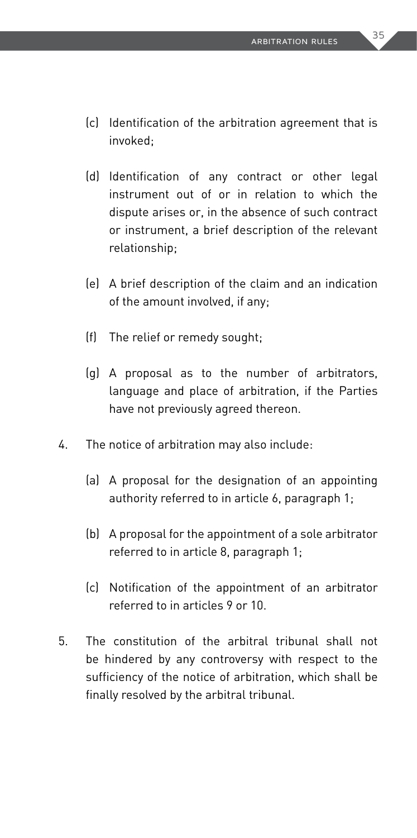- (c) Identification of the arbitration agreement that is invoked;
- (d) Identification of any contract or other legal instrument out of or in relation to which the dispute arises or, in the absence of such contract or instrument, a brief description of the relevant relationship;
- (e) A brief description of the claim and an indication of the amount involved, if any;
- (f) The relief or remedy sought;
- (g) A proposal as to the number of arbitrators, language and place of arbitration, if the Parties have not previously agreed thereon.
- 4. The notice of arbitration may also include:
	- (a) A proposal for the designation of an appointing authority referred to in article 6, paragraph 1;
	- (b) A proposal for the appointment of a sole arbitrator referred to in article 8, paragraph 1;
	- (c) Notification of the appointment of an arbitrator referred to in articles 9 or 10.
- 5. The constitution of the arbitral tribunal shall not be hindered by any controversy with respect to the sufficiency of the notice of arbitration, which shall be finally resolved by the arbitral tribunal.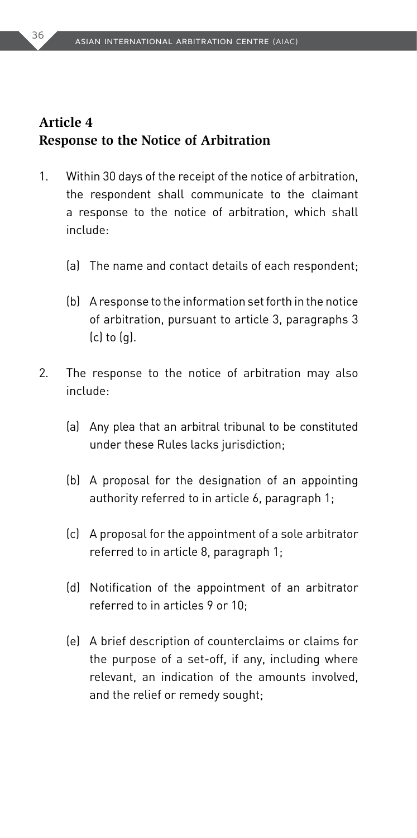### **Article 4 Response to the Notice of Arbitration**

- 1. Within 30 days of the receipt of the notice of arbitration, the respondent shall communicate to the claimant a response to the notice of arbitration, which shall include:
	- (a) The name and contact details of each respondent;
	- (b) A response to the information set forth in the notice of arbitration, pursuant to article 3, paragraphs 3 (c) to (g).
- 2. The response to the notice of arbitration may also include:
	- (a) Any plea that an arbitral tribunal to be constituted under these Rules lacks jurisdiction;
	- (b) A proposal for the designation of an appointing authority referred to in article 6, paragraph 1;
	- (c) A proposal for the appointment of a sole arbitrator referred to in article 8, paragraph 1;
	- (d) Notification of the appointment of an arbitrator referred to in articles 9 or 10;
	- (e) A brief description of counterclaims or claims for the purpose of a set-off, if any, including where relevant, an indication of the amounts involved, and the relief or remedy sought;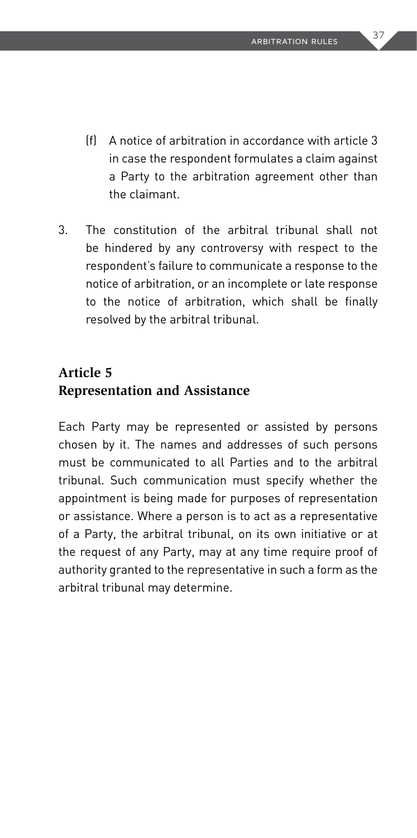- (f) A notice of arbitration in accordance with article 3 in case the respondent formulates a claim against a Party to the arbitration agreement other than the claimant.
- 3. The constitution of the arbitral tribunal shall not be hindered by any controversy with respect to the respondent's failure to communicate a response to the notice of arbitration, or an incomplete or late response to the notice of arbitration, which shall be finally resolved by the arbitral tribunal.

### **Article 5 Representation and Assistance**

Each Party may be represented or assisted by persons chosen by it. The names and addresses of such persons must be communicated to all Parties and to the arbitral tribunal. Such communication must specify whether the appointment is being made for purposes of representation or assistance. Where a person is to act as a representative of a Party, the arbitral tribunal, on its own initiative or at the request of any Party, may at any time require proof of authority granted to the representative in such a form as the arbitral tribunal may determine.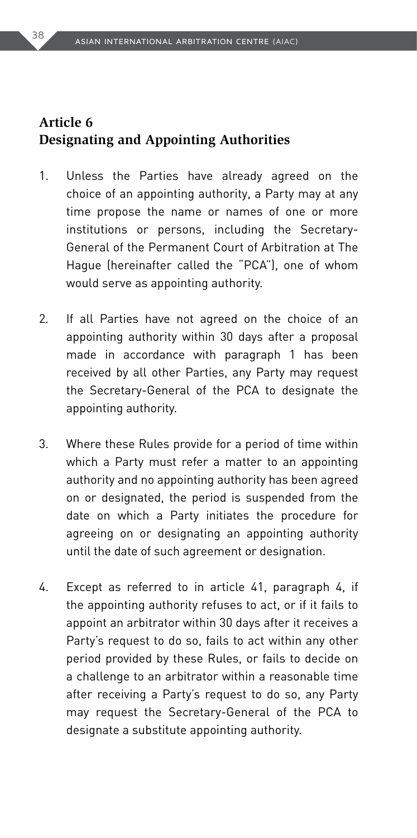### **Article 6 Designating and Appointing Authorities**

- 1. Unless the Parties have already agreed on the choice of an appointing authority, a Party may at any time propose the name or names of one or more institutions or persons, including the Secretary-General of the Permanent Court of Arbitration at The Hague (hereinafter called the "PCA"), one of whom would serve as appointing authority.
- 2. If all Parties have not agreed on the choice of an appointing authority within 30 days after a proposal made in accordance with paragraph 1 has been received by all other Parties, any Party may request the Secretary-General of the PCA to designate the appointing authority.
- 3. Where these Rules provide for a period of time within which a Party must refer a matter to an appointing authority and no appointing authority has been agreed on or designated, the period is suspended from the date on which a Party initiates the procedure for agreeing on or designating an appointing authority until the date of such agreement or designation.
- 4. Except as referred to in article 41, paragraph 4, if the appointing authority refuses to act, or if it fails to appoint an arbitrator within 30 days after it receives a Party's request to do so, fails to act within any other period provided by these Rules, or fails to decide on a challenge to an arbitrator within a reasonable time after receiving a Party's request to do so, any Party may request the Secretary-General of the PCA to designate a substitute appointing authority.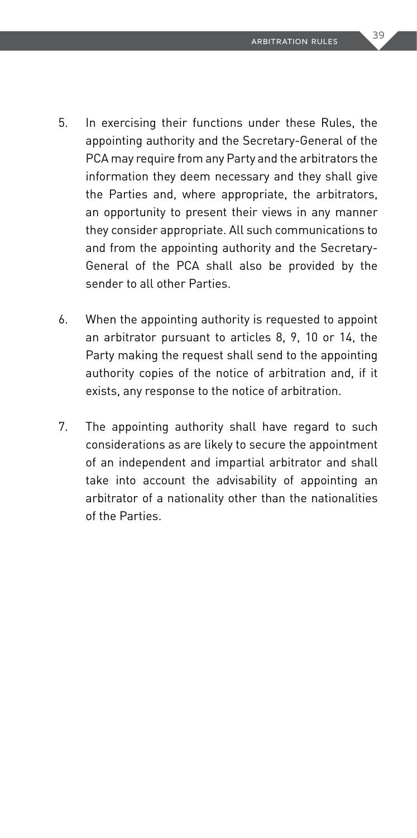- 5. In exercising their functions under these Rules, the appointing authority and the Secretary-General of the PCA may require from any Party and the arbitrators the information they deem necessary and they shall give the Parties and, where appropriate, the arbitrators, an opportunity to present their views in any manner they consider appropriate. All such communications to and from the appointing authority and the Secretary-General of the PCA shall also be provided by the sender to all other Parties.
- 6. When the appointing authority is requested to appoint an arbitrator pursuant to articles 8, 9, 10 or 14, the Party making the request shall send to the appointing authority copies of the notice of arbitration and, if it exists, any response to the notice of arbitration.
- 7. The appointing authority shall have regard to such considerations as are likely to secure the appointment of an independent and impartial arbitrator and shall take into account the advisability of appointing an arbitrator of a nationality other than the nationalities of the Parties.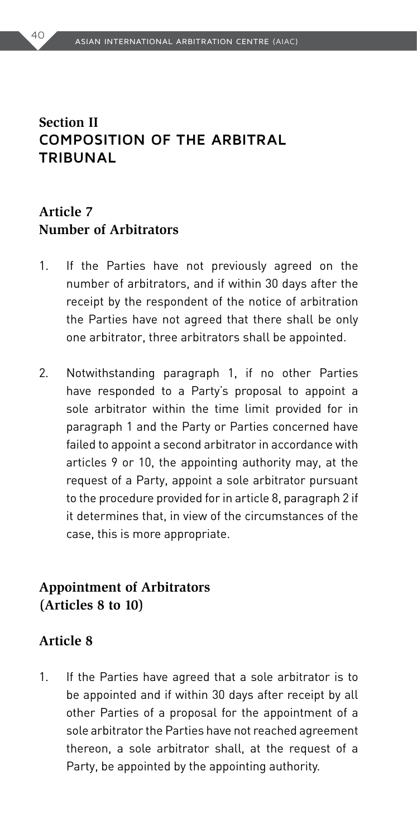# **Section II COMPOSITION OF THE ARBITRAL TRIBUNAL**

# **Article 7 Number of Arbitrators**

- 1. If the Parties have not previously agreed on the number of arbitrators, and if within 30 days after the receipt by the respondent of the notice of arbitration the Parties have not agreed that there shall be only one arbitrator, three arbitrators shall be appointed.
- 2. Notwithstanding paragraph 1, if no other Parties have responded to a Party's proposal to appoint a sole arbitrator within the time limit provided for in paragraph 1 and the Party or Parties concerned have failed to appoint a second arbitrator in accordance with articles 9 or 10, the appointing authority may, at the request of a Party, appoint a sole arbitrator pursuant to the procedure provided for in article 8, paragraph 2 if it determines that, in view of the circumstances of the case, this is more appropriate.

### **Appointment of Arbitrators (Articles 8 to 10)**

#### **Article 8**

1. If the Parties have agreed that a sole arbitrator is to be appointed and if within 30 days after receipt by all other Parties of a proposal for the appointment of a sole arbitrator the Parties have not reached agreement thereon, a sole arbitrator shall, at the request of a Party, be appointed by the appointing authority.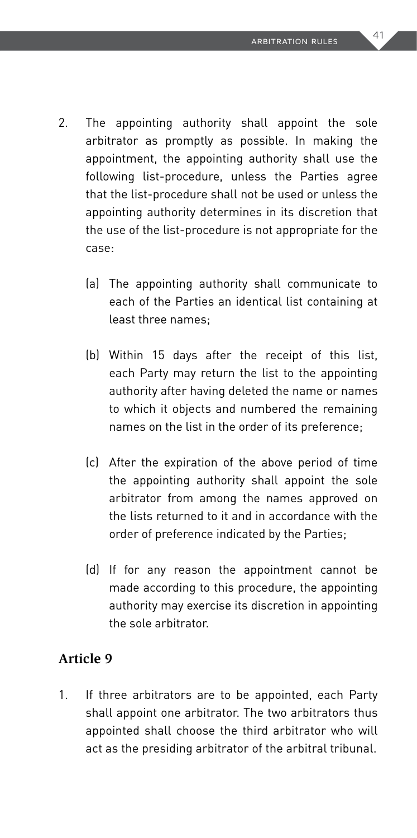- 2. The appointing authority shall appoint the sole arbitrator as promptly as possible. In making the appointment, the appointing authority shall use the following list-procedure, unless the Parties agree that the list-procedure shall not be used or unless the appointing authority determines in its discretion that the use of the list-procedure is not appropriate for the case:
	- (a) The appointing authority shall communicate to each of the Parties an identical list containing at least three names;
	- (b) Within 15 days after the receipt of this list, each Party may return the list to the appointing authority after having deleted the name or names to which it objects and numbered the remaining names on the list in the order of its preference;
	- (c) After the expiration of the above period of time the appointing authority shall appoint the sole arbitrator from among the names approved on the lists returned to it and in accordance with the order of preference indicated by the Parties;
	- (d) If for any reason the appointment cannot be made according to this procedure, the appointing authority may exercise its discretion in appointing the sole arbitrator.

### **Article 9**

1. If three arbitrators are to be appointed, each Party shall appoint one arbitrator. The two arbitrators thus appointed shall choose the third arbitrator who will act as the presiding arbitrator of the arbitral tribunal.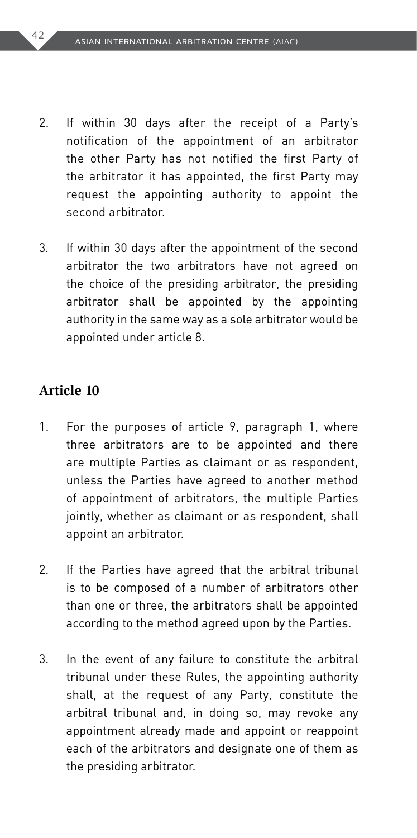- 2. If within 30 days after the receipt of a Party's notification of the appointment of an arbitrator the other Party has not notified the first Party of the arbitrator it has appointed, the first Party may request the appointing authority to appoint the second arbitrator.
- 3. If within 30 days after the appointment of the second arbitrator the two arbitrators have not agreed on the choice of the presiding arbitrator, the presiding arbitrator shall be appointed by the appointing authority in the same way as a sole arbitrator would be appointed under article 8.

#### **Article 10**

- 1. For the purposes of article 9, paragraph 1, where three arbitrators are to be appointed and there are multiple Parties as claimant or as respondent, unless the Parties have agreed to another method of appointment of arbitrators, the multiple Parties jointly, whether as claimant or as respondent, shall appoint an arbitrator.
- 2. If the Parties have agreed that the arbitral tribunal is to be composed of a number of arbitrators other than one or three, the arbitrators shall be appointed according to the method agreed upon by the Parties.
- 3. In the event of any failure to constitute the arbitral tribunal under these Rules, the appointing authority shall, at the request of any Party, constitute the arbitral tribunal and, in doing so, may revoke any appointment already made and appoint or reappoint each of the arbitrators and designate one of them as the presiding arbitrator.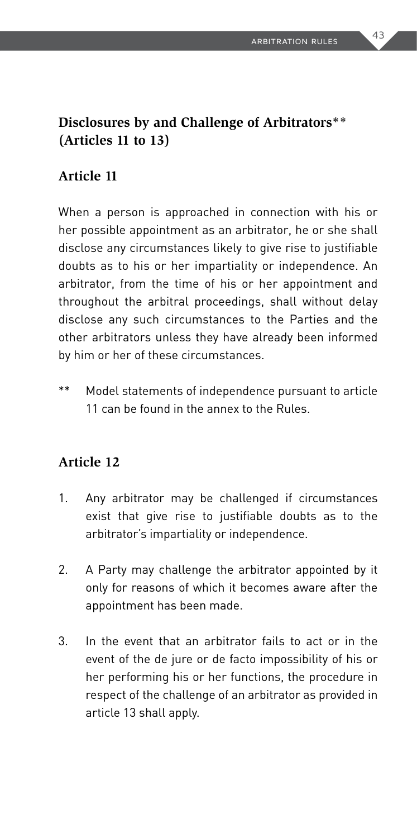# **Disclosures by and Challenge of Arbitrators\*\* (Articles 11 to 13)**

### **Article 11**

When a person is approached in connection with his or her possible appointment as an arbitrator, he or she shall disclose any circumstances likely to give rise to justifiable doubts as to his or her impartiality or independence. An arbitrator, from the time of his or her appointment and throughout the arbitral proceedings, shall without delay disclose any such circumstances to the Parties and the other arbitrators unless they have already been informed by him or her of these circumstances.

\*\* Model statements of independence pursuant to article 11 can be found in the annex to the Rules.

#### **Article 12**

- 1. Any arbitrator may be challenged if circumstances exist that give rise to justifiable doubts as to the arbitrator's impartiality or independence.
- 2. A Party may challenge the arbitrator appointed by it only for reasons of which it becomes aware after the appointment has been made.
- 3. In the event that an arbitrator fails to act or in the event of the de jure or de facto impossibility of his or her performing his or her functions, the procedure in respect of the challenge of an arbitrator as provided in article 13 shall apply.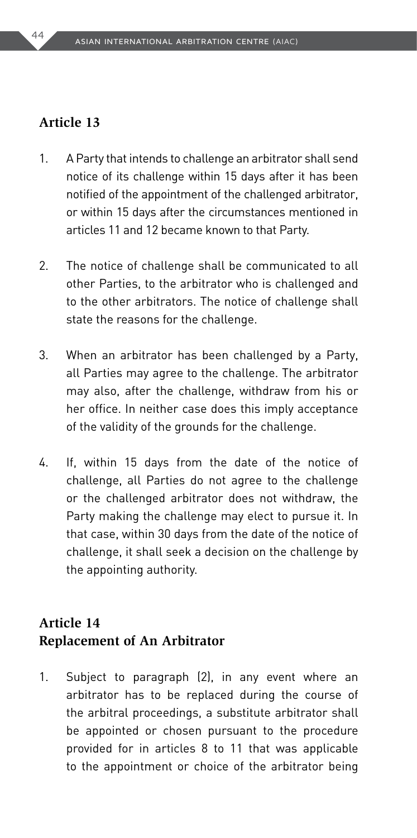#### **Article 13**

- 1. A Party that intends to challenge an arbitrator shall send notice of its challenge within 15 days after it has been notified of the appointment of the challenged arbitrator, or within 15 days after the circumstances mentioned in articles 11 and 12 became known to that Party.
- 2. The notice of challenge shall be communicated to all other Parties, to the arbitrator who is challenged and to the other arbitrators. The notice of challenge shall state the reasons for the challenge.
- 3. When an arbitrator has been challenged by a Party, all Parties may agree to the challenge. The arbitrator may also, after the challenge, withdraw from his or her office. In neither case does this imply acceptance of the validity of the grounds for the challenge.
- 4. If, within 15 days from the date of the notice of challenge, all Parties do not agree to the challenge or the challenged arbitrator does not withdraw, the Party making the challenge may elect to pursue it. In that case, within 30 days from the date of the notice of challenge, it shall seek a decision on the challenge by the appointing authority.

### **Article 14 Replacement of An Arbitrator**

1. Subject to paragraph (2), in any event where an arbitrator has to be replaced during the course of the arbitral proceedings, a substitute arbitrator shall be appointed or chosen pursuant to the procedure provided for in articles 8 to 11 that was applicable to the appointment or choice of the arbitrator being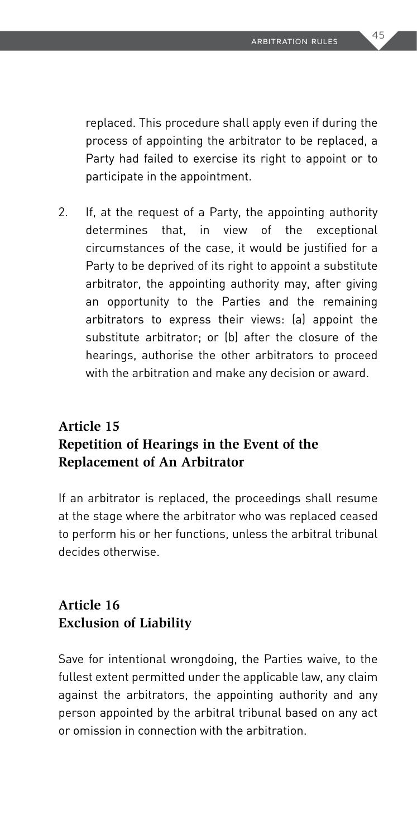replaced. This procedure shall apply even if during the process of appointing the arbitrator to be replaced, a Party had failed to exercise its right to appoint or to participate in the appointment.

2. If, at the request of a Party, the appointing authority determines that, in view of the exceptional circumstances of the case, it would be justified for a Party to be deprived of its right to appoint a substitute arbitrator, the appointing authority may, after giving an opportunity to the Parties and the remaining arbitrators to express their views: (a) appoint the substitute arbitrator; or (b) after the closure of the hearings, authorise the other arbitrators to proceed with the arbitration and make any decision or award.

# **Article 15 Repetition of Hearings in the Event of the Replacement of An Arbitrator**

If an arbitrator is replaced, the proceedings shall resume at the stage where the arbitrator who was replaced ceased to perform his or her functions, unless the arbitral tribunal decides otherwise.

# **Article 16 Exclusion of Liability**

Save for intentional wrongdoing, the Parties waive, to the fullest extent permitted under the applicable law, any claim against the arbitrators, the appointing authority and any person appointed by the arbitral tribunal based on any act or omission in connection with the arbitration.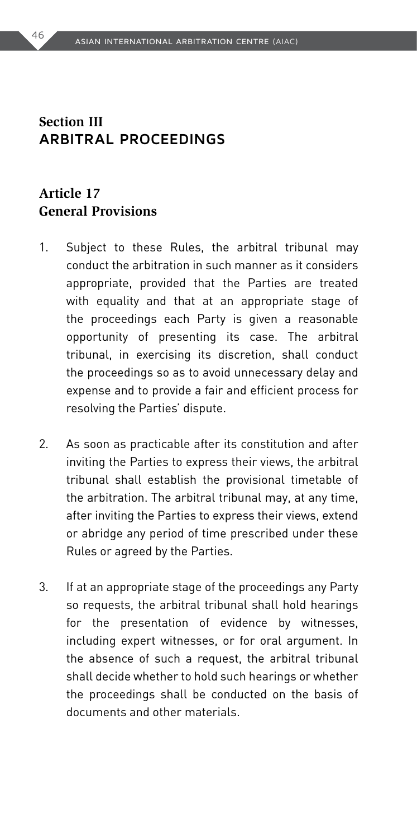### **Section III ARBITRAL PROCEEDINGS**

### **Article 17 General Provisions**

- 1. Subject to these Rules, the arbitral tribunal may conduct the arbitration in such manner as it considers appropriate, provided that the Parties are treated with equality and that at an appropriate stage of the proceedings each Party is given a reasonable opportunity of presenting its case. The arbitral tribunal, in exercising its discretion, shall conduct the proceedings so as to avoid unnecessary delay and expense and to provide a fair and efficient process for resolving the Parties' dispute.
- 2. As soon as practicable after its constitution and after inviting the Parties to express their views, the arbitral tribunal shall establish the provisional timetable of the arbitration. The arbitral tribunal may, at any time, after inviting the Parties to express their views, extend or abridge any period of time prescribed under these Rules or agreed by the Parties.
- 3. If at an appropriate stage of the proceedings any Party so requests, the arbitral tribunal shall hold hearings for the presentation of evidence by witnesses, including expert witnesses, or for oral argument. In the absence of such a request, the arbitral tribunal shall decide whether to hold such hearings or whether the proceedings shall be conducted on the basis of documents and other materials.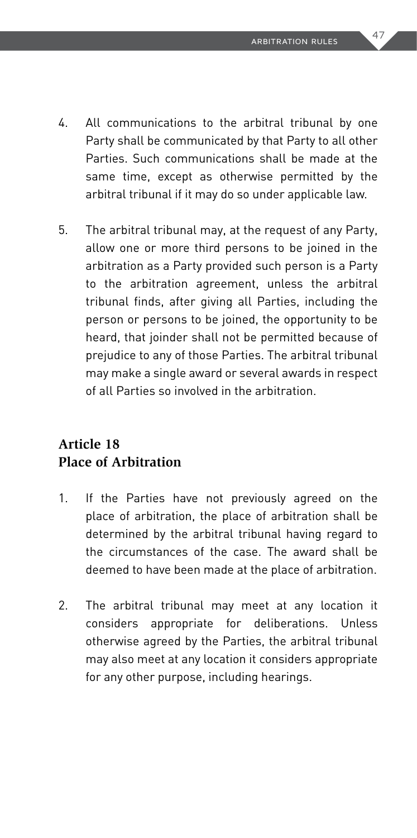- 4. All communications to the arbitral tribunal by one Party shall be communicated by that Party to all other Parties. Such communications shall be made at the same time, except as otherwise permitted by the arbitral tribunal if it may do so under applicable law.
- 5. The arbitral tribunal may, at the request of any Party, allow one or more third persons to be joined in the arbitration as a Party provided such person is a Party to the arbitration agreement, unless the arbitral tribunal finds, after giving all Parties, including the person or persons to be joined, the opportunity to be heard, that joinder shall not be permitted because of prejudice to any of those Parties. The arbitral tribunal may make a single award or several awards in respect of all Parties so involved in the arbitration.

# **Article 18 Place of Arbitration**

- 1. If the Parties have not previously agreed on the place of arbitration, the place of arbitration shall be determined by the arbitral tribunal having regard to the circumstances of the case. The award shall be deemed to have been made at the place of arbitration.
- 2. The arbitral tribunal may meet at any location it considers appropriate for deliberations. Unless otherwise agreed by the Parties, the arbitral tribunal may also meet at any location it considers appropriate for any other purpose, including hearings.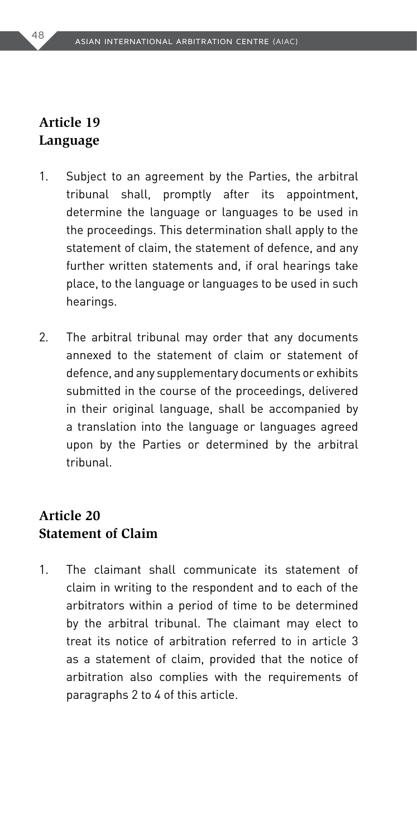### **Article 19 Language**

- 1. Subject to an agreement by the Parties, the arbitral tribunal shall, promptly after its appointment, determine the language or languages to be used in the proceedings. This determination shall apply to the statement of claim, the statement of defence, and any further written statements and, if oral hearings take place, to the language or languages to be used in such hearings.
- 2. The arbitral tribunal may order that any documents annexed to the statement of claim or statement of defence, and any supplementary documents or exhibits submitted in the course of the proceedings, delivered in their original language, shall be accompanied by a translation into the language or languages agreed upon by the Parties or determined by the arbitral tribunal.

### **Article 20 Statement of Claim**

1. The claimant shall communicate its statement of claim in writing to the respondent and to each of the arbitrators within a period of time to be determined by the arbitral tribunal. The claimant may elect to treat its notice of arbitration referred to in article 3 as a statement of claim, provided that the notice of arbitration also complies with the requirements of paragraphs 2 to 4 of this article.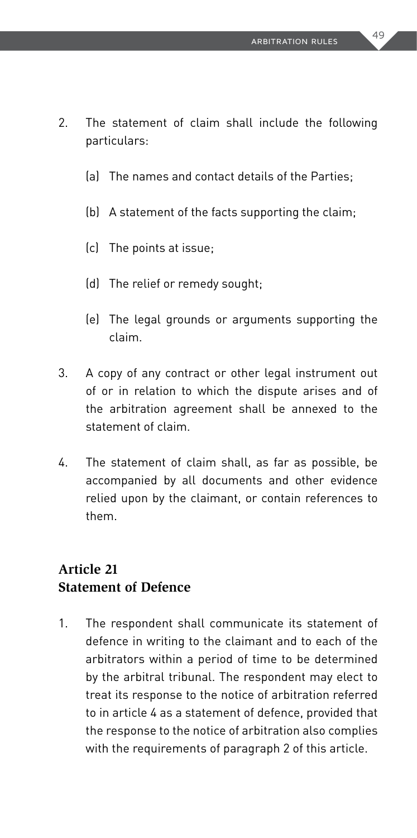- 2. The statement of claim shall include the following particulars:
	- (a) The names and contact details of the Parties;
	- (b) A statement of the facts supporting the claim;
	- (c) The points at issue;
	- (d) The relief or remedy sought;
	- (e) The legal grounds or arguments supporting the claim.
- 3. A copy of any contract or other legal instrument out of or in relation to which the dispute arises and of the arbitration agreement shall be annexed to the statement of claim.
- 4. The statement of claim shall, as far as possible, be accompanied by all documents and other evidence relied upon by the claimant, or contain references to them.

### **Article 21 Statement of Defence**

1. The respondent shall communicate its statement of defence in writing to the claimant and to each of the arbitrators within a period of time to be determined by the arbitral tribunal. The respondent may elect to treat its response to the notice of arbitration referred to in article 4 as a statement of defence, provided that the response to the notice of arbitration also complies with the requirements of paragraph 2 of this article.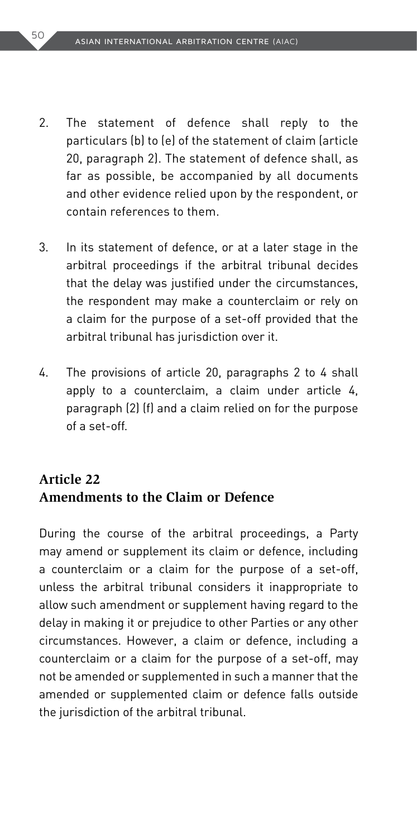- 2. The statement of defence shall reply to the particulars (b) to (e) of the statement of claim (article 20, paragraph 2). The statement of defence shall, as far as possible, be accompanied by all documents and other evidence relied upon by the respondent, or contain references to them.
- 3. In its statement of defence, or at a later stage in the arbitral proceedings if the arbitral tribunal decides that the delay was justified under the circumstances, the respondent may make a counterclaim or rely on a claim for the purpose of a set-off provided that the arbitral tribunal has jurisdiction over it.
- 4. The provisions of article 20, paragraphs 2 to 4 shall apply to a counterclaim, a claim under article 4, paragraph (2) (f) and a claim relied on for the purpose of a set-off.

### **Article 22 Amendments to the Claim or Defence**

During the course of the arbitral proceedings, a Party may amend or supplement its claim or defence, including a counterclaim or a claim for the purpose of a set-off, unless the arbitral tribunal considers it inappropriate to allow such amendment or supplement having regard to the delay in making it or prejudice to other Parties or any other circumstances. However, a claim or defence, including a counterclaim or a claim for the purpose of a set-off, may not be amended or supplemented in such a manner that the amended or supplemented claim or defence falls outside the jurisdiction of the arbitral tribunal.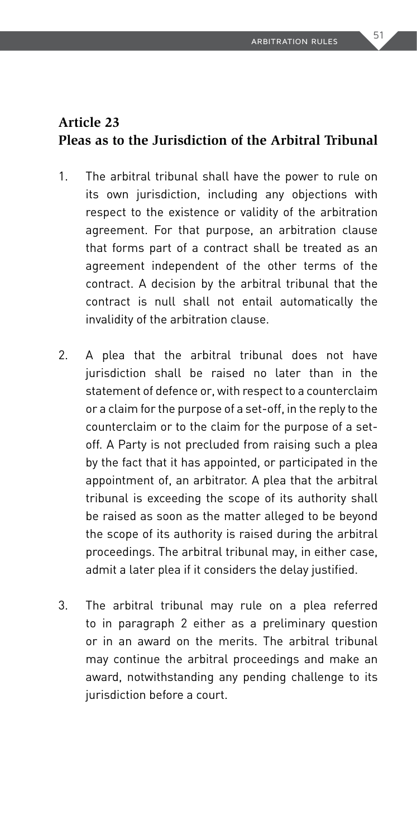# **Article 23 Pleas as to the Jurisdiction of the Arbitral Tribunal**

- 1. The arbitral tribunal shall have the power to rule on its own jurisdiction, including any objections with respect to the existence or validity of the arbitration agreement. For that purpose, an arbitration clause that forms part of a contract shall be treated as an agreement independent of the other terms of the contract. A decision by the arbitral tribunal that the contract is null shall not entail automatically the invalidity of the arbitration clause.
- 2. A plea that the arbitral tribunal does not have jurisdiction shall be raised no later than in the statement of defence or, with respect to a counterclaim or a claim for the purpose of a set-off, in the reply to the counterclaim or to the claim for the purpose of a setoff. A Party is not precluded from raising such a plea by the fact that it has appointed, or participated in the appointment of, an arbitrator. A plea that the arbitral tribunal is exceeding the scope of its authority shall be raised as soon as the matter alleged to be beyond the scope of its authority is raised during the arbitral proceedings. The arbitral tribunal may, in either case, admit a later plea if it considers the delay justified.
- 3. The arbitral tribunal may rule on a plea referred to in paragraph 2 either as a preliminary question or in an award on the merits. The arbitral tribunal may continue the arbitral proceedings and make an award, notwithstanding any pending challenge to its jurisdiction before a court.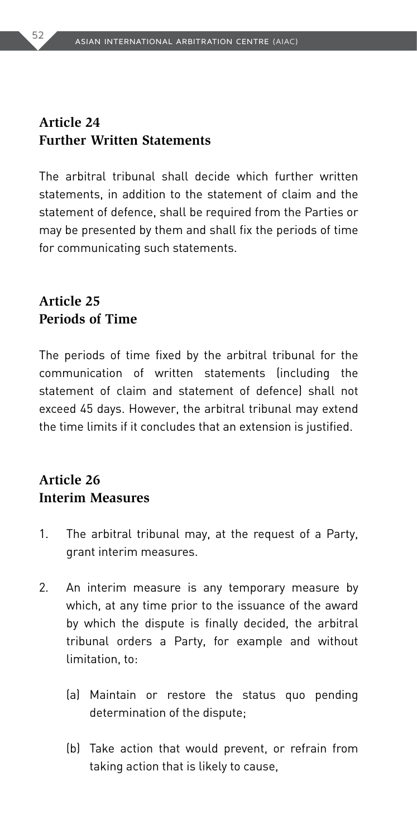### **Article 24 Further Written Statements**

The arbitral tribunal shall decide which further written statements, in addition to the statement of claim and the statement of defence, shall be required from the Parties or may be presented by them and shall fix the periods of time for communicating such statements.

# **Article 25 Periods of Time**

The periods of time fixed by the arbitral tribunal for the communication of written statements (including the statement of claim and statement of defence) shall not exceed 45 days. However, the arbitral tribunal may extend the time limits if it concludes that an extension is justified.

# **Article 26 Interim Measures**

- 1. The arbitral tribunal may, at the request of a Party, grant interim measures.
- 2. An interim measure is any temporary measure by which, at any time prior to the issuance of the award by which the dispute is finally decided, the arbitral tribunal orders a Party, for example and without limitation, to:
	- (a) Maintain or restore the status quo pending determination of the dispute;
	- (b) Take action that would prevent, or refrain from taking action that is likely to cause,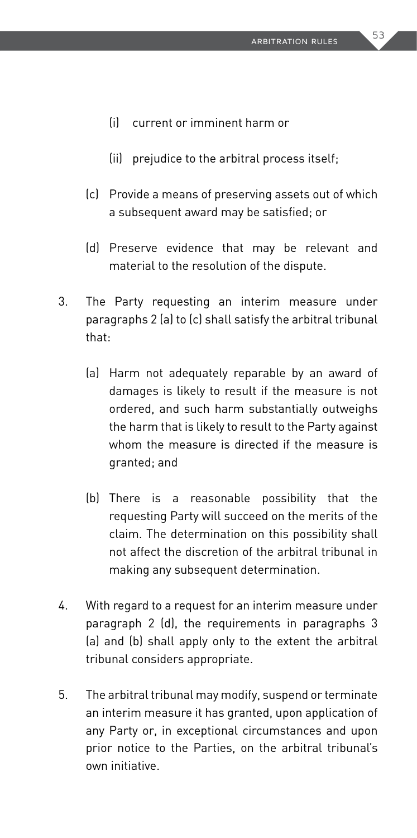- (i) current or imminent harm or
- (ii) prejudice to the arbitral process itself;
- (c) Provide a means of preserving assets out of which a subsequent award may be satisfied; or
- (d) Preserve evidence that may be relevant and material to the resolution of the dispute.
- 3. The Party requesting an interim measure under paragraphs 2 (a) to (c) shall satisfy the arbitral tribunal that:
	- (a) Harm not adequately reparable by an award of damages is likely to result if the measure is not ordered, and such harm substantially outweighs the harm that is likely to result to the Party against whom the measure is directed if the measure is granted; and
	- (b) There is a reasonable possibility that the requesting Party will succeed on the merits of the claim. The determination on this possibility shall not affect the discretion of the arbitral tribunal in making any subsequent determination.
- 4. With regard to a request for an interim measure under paragraph 2 (d), the requirements in paragraphs 3 (a) and (b) shall apply only to the extent the arbitral tribunal considers appropriate.
- 5. The arbitral tribunal may modify, suspend or terminate an interim measure it has granted, upon application of any Party or, in exceptional circumstances and upon prior notice to the Parties, on the arbitral tribunal's own initiative.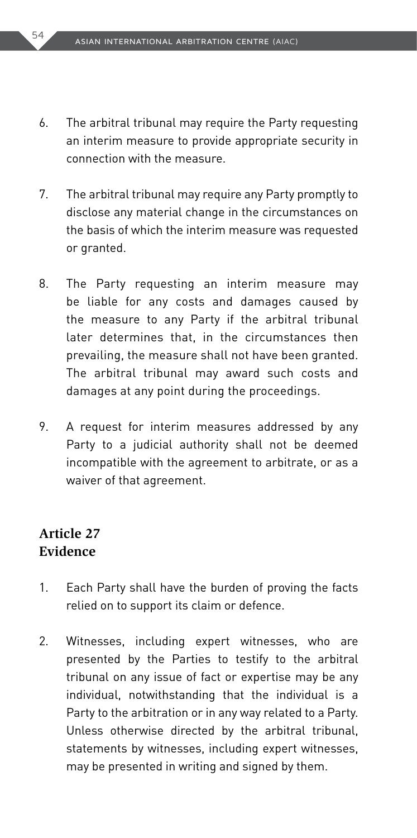- 6. The arbitral tribunal may require the Party requesting an interim measure to provide appropriate security in connection with the measure.
- 7. The arbitral tribunal may require any Party promptly to disclose any material change in the circumstances on the basis of which the interim measure was requested or granted.
- 8. The Party requesting an interim measure may be liable for any costs and damages caused by the measure to any Party if the arbitral tribunal later determines that, in the circumstances then prevailing, the measure shall not have been granted. The arbitral tribunal may award such costs and damages at any point during the proceedings.
- 9. A request for interim measures addressed by any Party to a judicial authority shall not be deemed incompatible with the agreement to arbitrate, or as a waiver of that agreement.

### **Article 27 Evidence**

- 1. Each Party shall have the burden of proving the facts relied on to support its claim or defence.
- 2. Witnesses, including expert witnesses, who are presented by the Parties to testify to the arbitral tribunal on any issue of fact or expertise may be any individual, notwithstanding that the individual is a Party to the arbitration or in any way related to a Party. Unless otherwise directed by the arbitral tribunal, statements by witnesses, including expert witnesses, may be presented in writing and signed by them.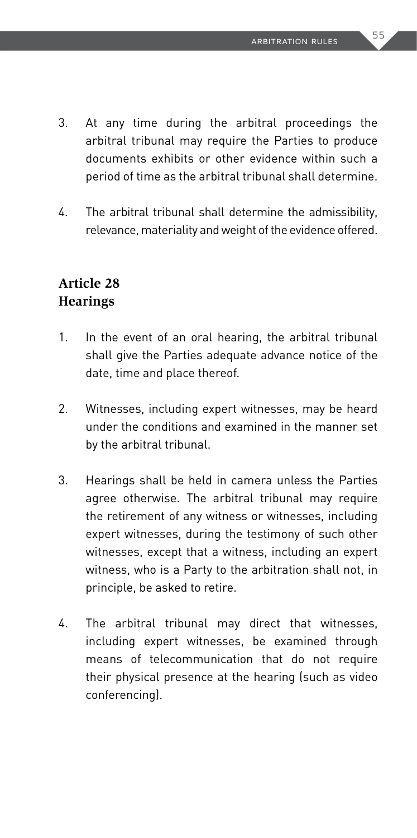- 3. At any time during the arbitral proceedings the arbitral tribunal may require the Parties to produce documents exhibits or other evidence within such a period of time as the arbitral tribunal shall determine.
- 4. The arbitral tribunal shall determine the admissibility, relevance, materiality and weight of the evidence offered.

### **Article 28 Hearings**

- 1. In the event of an oral hearing, the arbitral tribunal shall give the Parties adequate advance notice of the date, time and place thereof.
- 2. Witnesses, including expert witnesses, may be heard under the conditions and examined in the manner set by the arbitral tribunal.
- 3. Hearings shall be held in camera unless the Parties agree otherwise. The arbitral tribunal may require the retirement of any witness or witnesses, including expert witnesses, during the testimony of such other witnesses, except that a witness, including an expert witness, who is a Party to the arbitration shall not, in principle, be asked to retire.
- 4. The arbitral tribunal may direct that witnesses, including expert witnesses, be examined through means of telecommunication that do not require their physical presence at the hearing (such as video conferencing).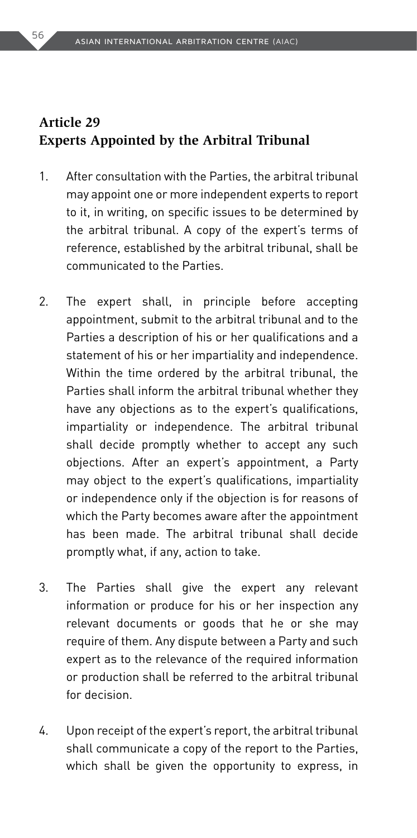## **Article 29 Experts Appointed by the Arbitral Tribunal**

- 1. After consultation with the Parties, the arbitral tribunal may appoint one or more independent experts to report to it, in writing, on specific issues to be determined by the arbitral tribunal. A copy of the expert's terms of reference, established by the arbitral tribunal, shall be communicated to the Parties.
- 2. The expert shall, in principle before accepting appointment, submit to the arbitral tribunal and to the Parties a description of his or her qualifications and a statement of his or her impartiality and independence. Within the time ordered by the arbitral tribunal, the Parties shall inform the arbitral tribunal whether they have any objections as to the expert's qualifications, impartiality or independence. The arbitral tribunal shall decide promptly whether to accept any such objections. After an expert's appointment, a Party may object to the expert's qualifications, impartiality or independence only if the objection is for reasons of which the Party becomes aware after the appointment has been made. The arbitral tribunal shall decide promptly what, if any, action to take.
- 3. The Parties shall give the expert any relevant information or produce for his or her inspection any relevant documents or goods that he or she may require of them. Any dispute between a Party and such expert as to the relevance of the required information or production shall be referred to the arbitral tribunal for decision.
- 4. Upon receipt of the expert's report, the arbitral tribunal shall communicate a copy of the report to the Parties, which shall be given the opportunity to express, in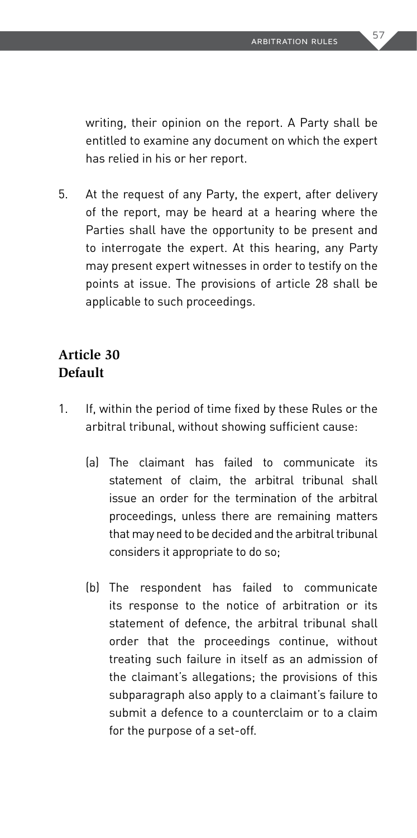writing, their opinion on the report. A Party shall be entitled to examine any document on which the expert has relied in his or her report.

5. At the request of any Party, the expert, after delivery of the report, may be heard at a hearing where the Parties shall have the opportunity to be present and to interrogate the expert. At this hearing, any Party may present expert witnesses in order to testify on the points at issue. The provisions of article 28 shall be applicable to such proceedings.

### **Article 30 Default**

- 1. If, within the period of time fixed by these Rules or the arbitral tribunal, without showing sufficient cause:
	- (a) The claimant has failed to communicate its statement of claim, the arbitral tribunal shall issue an order for the termination of the arbitral proceedings, unless there are remaining matters that may need to be decided and the arbitral tribunal considers it appropriate to do so;
	- (b) The respondent has failed to communicate its response to the notice of arbitration or its statement of defence, the arbitral tribunal shall order that the proceedings continue, without treating such failure in itself as an admission of the claimant's allegations; the provisions of this subparagraph also apply to a claimant's failure to submit a defence to a counterclaim or to a claim for the purpose of a set-off.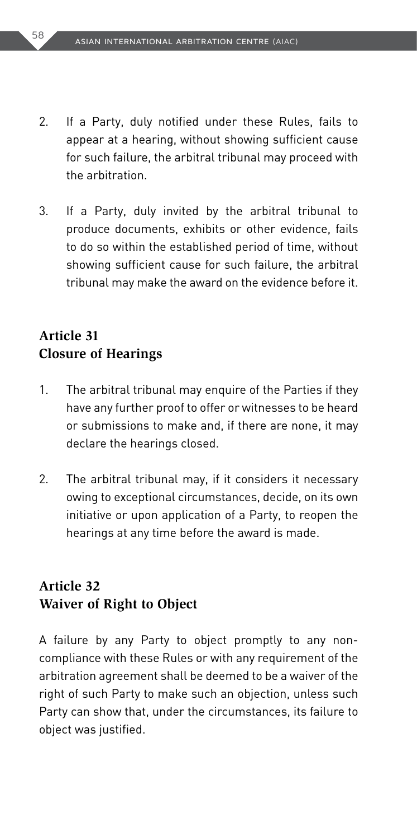- 2. If a Party, duly notified under these Rules, fails to appear at a hearing, without showing sufficient cause for such failure, the arbitral tribunal may proceed with the arbitration.
- 3. If a Party, duly invited by the arbitral tribunal to produce documents, exhibits or other evidence, fails to do so within the established period of time, without showing sufficient cause for such failure, the arbitral tribunal may make the award on the evidence before it.

# **Article 31 Closure of Hearings**

- 1. The arbitral tribunal may enquire of the Parties if they have any further proof to offer or witnesses to be heard or submissions to make and, if there are none, it may declare the hearings closed.
- 2. The arbitral tribunal may, if it considers it necessary owing to exceptional circumstances, decide, on its own initiative or upon application of a Party, to reopen the hearings at any time before the award is made.

# **Article 32 Waiver of Right to Object**

A failure by any Party to object promptly to any noncompliance with these Rules or with any requirement of the arbitration agreement shall be deemed to be a waiver of the right of such Party to make such an objection, unless such Party can show that, under the circumstances, its failure to object was justified.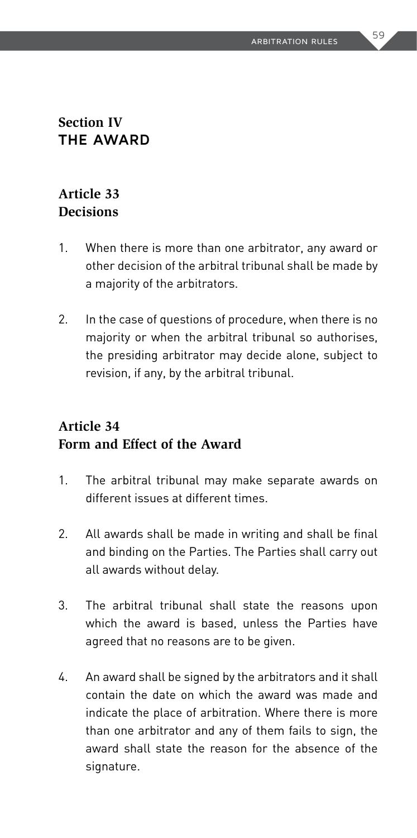### **Section IV THE AWARD**

### **Article 33 Decisions**

- 1. When there is more than one arbitrator, any award or other decision of the arbitral tribunal shall be made by a majority of the arbitrators.
- 2. In the case of questions of procedure, when there is no majority or when the arbitral tribunal so authorises, the presiding arbitrator may decide alone, subject to revision, if any, by the arbitral tribunal.

# **Article 34 Form and Effect of the Award**

- 1. The arbitral tribunal may make separate awards on different issues at different times.
- 2. All awards shall be made in writing and shall be final and binding on the Parties. The Parties shall carry out all awards without delay.
- 3. The arbitral tribunal shall state the reasons upon which the award is based, unless the Parties have agreed that no reasons are to be given.
- 4. An award shall be signed by the arbitrators and it shall contain the date on which the award was made and indicate the place of arbitration. Where there is more than one arbitrator and any of them fails to sign, the award shall state the reason for the absence of the signature.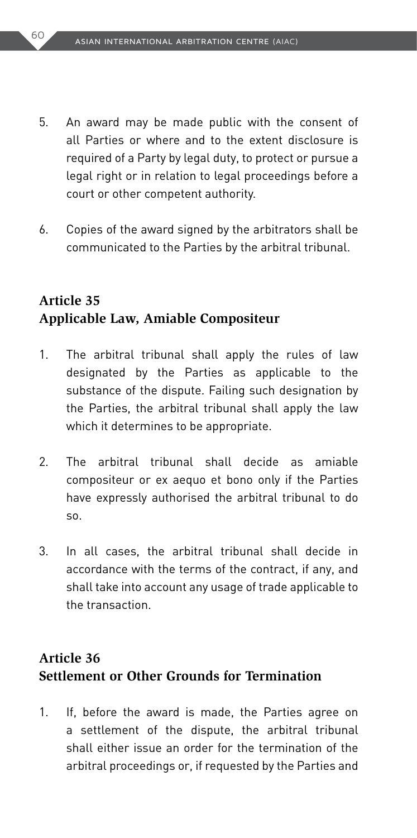- 5. An award may be made public with the consent of all Parties or where and to the extent disclosure is required of a Party by legal duty, to protect or pursue a legal right or in relation to legal proceedings before a court or other competent authority.
- 6. Copies of the award signed by the arbitrators shall be communicated to the Parties by the arbitral tribunal.

# **Article 35 Applicable Law, Amiable Compositeur**

- 1. The arbitral tribunal shall apply the rules of law designated by the Parties as applicable to the substance of the dispute. Failing such designation by the Parties, the arbitral tribunal shall apply the law which it determines to be appropriate.
- 2. The arbitral tribunal shall decide as amiable compositeur or ex aequo et bono only if the Parties have expressly authorised the arbitral tribunal to do so.
- 3. In all cases, the arbitral tribunal shall decide in accordance with the terms of the contract, if any, and shall take into account any usage of trade applicable to the transaction.

### **Article 36 Settlement or Other Grounds for Termination**

1. If, before the award is made, the Parties agree on a settlement of the dispute, the arbitral tribunal shall either issue an order for the termination of the arbitral proceedings or, if requested by the Parties and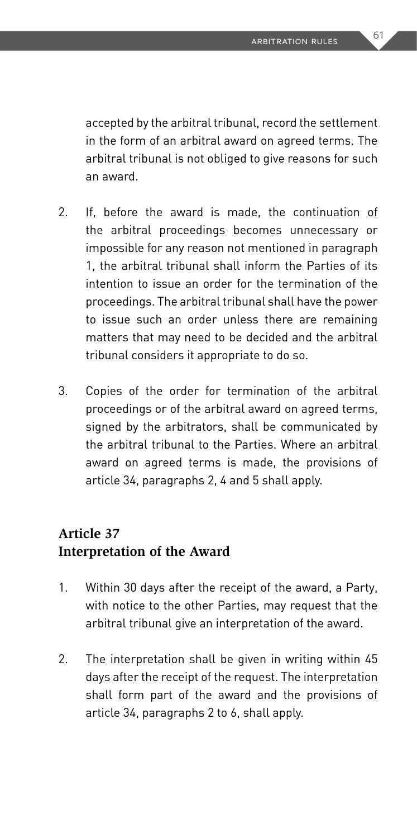accepted by the arbitral tribunal, record the settlement in the form of an arbitral award on agreed terms. The arbitral tribunal is not obliged to give reasons for such an award.

- 2. If, before the award is made, the continuation of the arbitral proceedings becomes unnecessary or impossible for any reason not mentioned in paragraph 1, the arbitral tribunal shall inform the Parties of its intention to issue an order for the termination of the proceedings. The arbitral tribunal shall have the power to issue such an order unless there are remaining matters that may need to be decided and the arbitral tribunal considers it appropriate to do so.
- 3. Copies of the order for termination of the arbitral proceedings or of the arbitral award on agreed terms, signed by the arbitrators, shall be communicated by the arbitral tribunal to the Parties. Where an arbitral award on agreed terms is made, the provisions of article 34, paragraphs 2, 4 and 5 shall apply.

# **Article 37 Interpretation of the Award**

- 1. Within 30 days after the receipt of the award, a Party, with notice to the other Parties, may request that the arbitral tribunal give an interpretation of the award.
- 2. The interpretation shall be given in writing within 45 days after the receipt of the request. The interpretation shall form part of the award and the provisions of article 34, paragraphs 2 to 6, shall apply.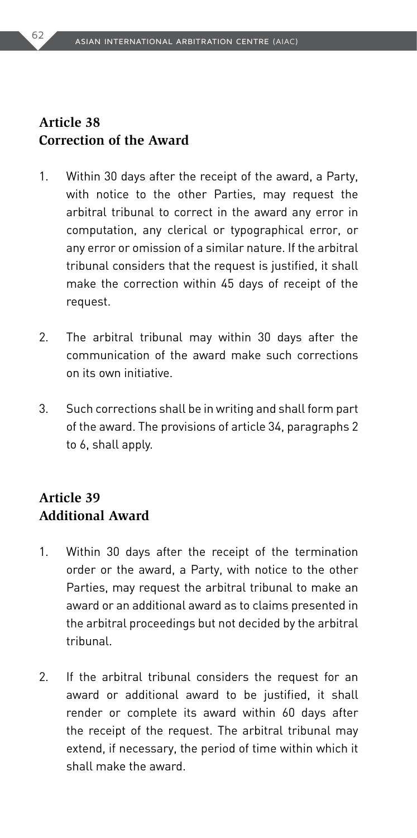# **Article 38 Correction of the Award**

- 1. Within 30 days after the receipt of the award, a Party, with notice to the other Parties, may request the arbitral tribunal to correct in the award any error in computation, any clerical or typographical error, or any error or omission of a similar nature. If the arbitral tribunal considers that the request is justified, it shall make the correction within 45 days of receipt of the request.
- 2. The arbitral tribunal may within 30 days after the communication of the award make such corrections on its own initiative.
- 3. Such corrections shall be in writing and shall form part of the award. The provisions of article 34, paragraphs 2 to 6, shall apply.

# **Article 39 Additional Award**

- 1. Within 30 days after the receipt of the termination order or the award, a Party, with notice to the other Parties, may request the arbitral tribunal to make an award or an additional award as to claims presented in the arbitral proceedings but not decided by the arbitral tribunal.
- 2. If the arbitral tribunal considers the request for an award or additional award to be justified, it shall render or complete its award within 60 days after the receipt of the request. The arbitral tribunal may extend, if necessary, the period of time within which it shall make the award.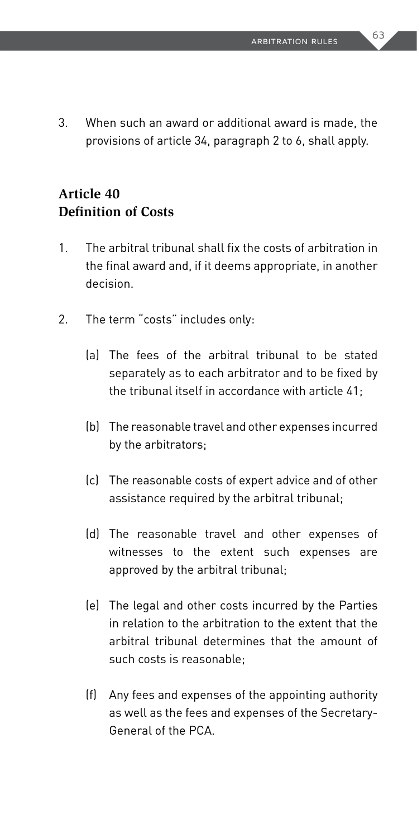3. When such an award or additional award is made, the provisions of article 34, paragraph 2 to 6, shall apply.

# **Article 40 Definition of Costs**

- 1. The arbitral tribunal shall fix the costs of arbitration in the final award and, if it deems appropriate, in another decision.
- 2. The term "costs" includes only:
	- (a) The fees of the arbitral tribunal to be stated separately as to each arbitrator and to be fixed by the tribunal itself in accordance with article 41;
	- (b) The reasonable travel and other expenses incurred by the arbitrators;
	- (c) The reasonable costs of expert advice and of other assistance required by the arbitral tribunal;
	- (d) The reasonable travel and other expenses of witnesses to the extent such expenses are approved by the arbitral tribunal;
	- (e) The legal and other costs incurred by the Parties in relation to the arbitration to the extent that the arbitral tribunal determines that the amount of such costs is reasonable;
	- (f) Any fees and expenses of the appointing authority as well as the fees and expenses of the Secretary-General of the PCA.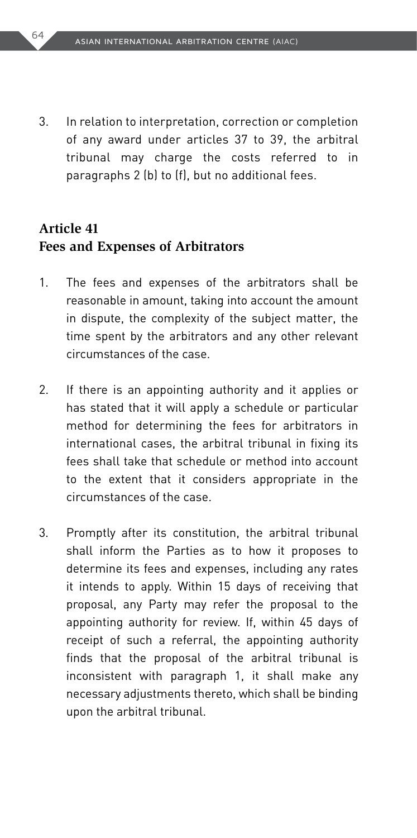3. In relation to interpretation, correction or completion of any award under articles 37 to 39, the arbitral tribunal may charge the costs referred to in paragraphs 2 (b) to (f), but no additional fees.

### **Article 41 Fees and Expenses of Arbitrators**

- 1. The fees and expenses of the arbitrators shall be reasonable in amount, taking into account the amount in dispute, the complexity of the subject matter, the time spent by the arbitrators and any other relevant circumstances of the case.
- 2. If there is an appointing authority and it applies or has stated that it will apply a schedule or particular method for determining the fees for arbitrators in international cases, the arbitral tribunal in fixing its fees shall take that schedule or method into account to the extent that it considers appropriate in the circumstances of the case.
- 3. Promptly after its constitution, the arbitral tribunal shall inform the Parties as to how it proposes to determine its fees and expenses, including any rates it intends to apply. Within 15 days of receiving that proposal, any Party may refer the proposal to the appointing authority for review. If, within 45 days of receipt of such a referral, the appointing authority finds that the proposal of the arbitral tribunal is inconsistent with paragraph 1, it shall make any necessary adjustments thereto, which shall be binding upon the arbitral tribunal.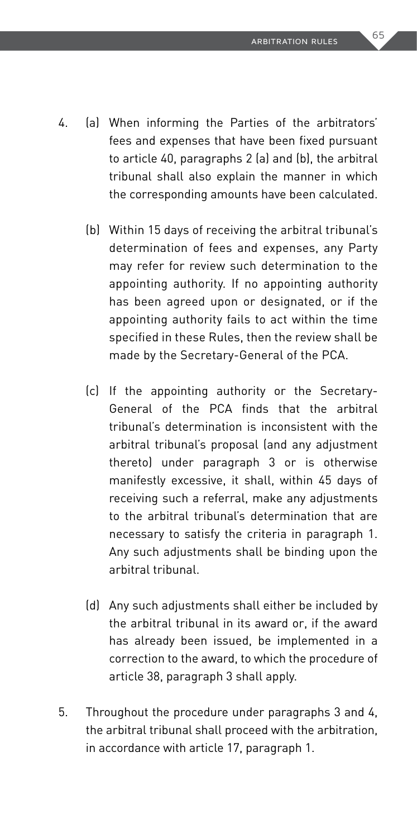- 4. (a) When informing the Parties of the arbitrators' fees and expenses that have been fixed pursuant to article 40, paragraphs 2 (a) and (b), the arbitral tribunal shall also explain the manner in which the corresponding amounts have been calculated.
	- (b) Within 15 days of receiving the arbitral tribunal's determination of fees and expenses, any Party may refer for review such determination to the appointing authority. If no appointing authority has been agreed upon or designated, or if the appointing authority fails to act within the time specified in these Rules, then the review shall be made by the Secretary-General of the PCA.
	- (c) If the appointing authority or the Secretary-General of the PCA finds that the arbitral tribunal's determination is inconsistent with the arbitral tribunal's proposal (and any adjustment thereto) under paragraph 3 or is otherwise manifestly excessive, it shall, within 45 days of receiving such a referral, make any adjustments to the arbitral tribunal's determination that are necessary to satisfy the criteria in paragraph 1. Any such adjustments shall be binding upon the arbitral tribunal.
	- (d) Any such adjustments shall either be included by the arbitral tribunal in its award or, if the award has already been issued, be implemented in a correction to the award, to which the procedure of article 38, paragraph 3 shall apply.
- 5. Throughout the procedure under paragraphs 3 and 4, the arbitral tribunal shall proceed with the arbitration, in accordance with article 17, paragraph 1.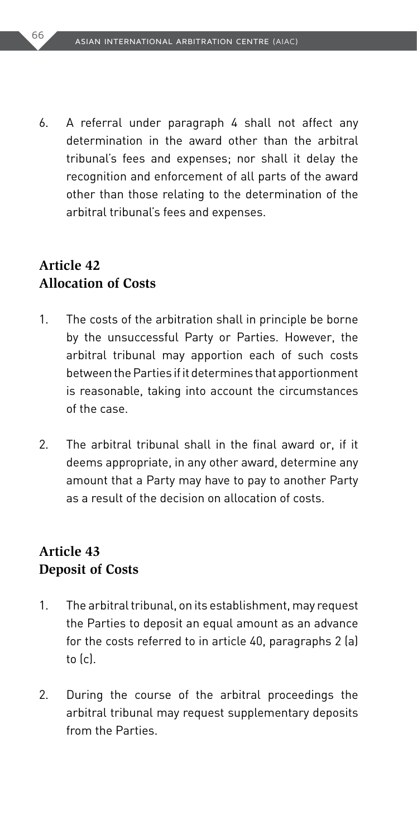6. A referral under paragraph 4 shall not affect any determination in the award other than the arbitral tribunal's fees and expenses; nor shall it delay the recognition and enforcement of all parts of the award other than those relating to the determination of the arbitral tribunal's fees and expenses.

### **Article 42 Allocation of Costs**

- 1. The costs of the arbitration shall in principle be borne by the unsuccessful Party or Parties. However, the arbitral tribunal may apportion each of such costs between the Parties if it determines that apportionment is reasonable, taking into account the circumstances of the case.
- 2. The arbitral tribunal shall in the final award or, if it deems appropriate, in any other award, determine any amount that a Party may have to pay to another Party as a result of the decision on allocation of costs.

### **Article 43 Deposit of Costs**

- 1. The arbitral tribunal, on its establishment, may request the Parties to deposit an equal amount as an advance for the costs referred to in article 40, paragraphs 2 (a) to (c).
- 2. During the course of the arbitral proceedings the arbitral tribunal may request supplementary deposits from the Parties.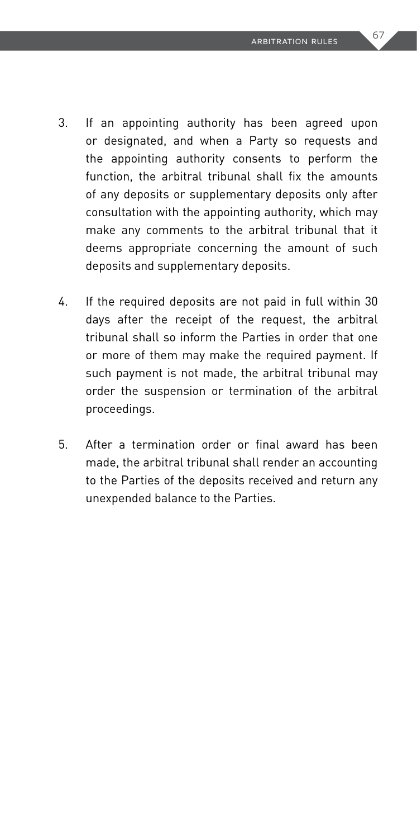- 3. If an appointing authority has been agreed upon or designated, and when a Party so requests and the appointing authority consents to perform the function, the arbitral tribunal shall fix the amounts of any deposits or supplementary deposits only after consultation with the appointing authority, which may make any comments to the arbitral tribunal that it deems appropriate concerning the amount of such deposits and supplementary deposits.
- 4. If the required deposits are not paid in full within 30 days after the receipt of the request, the arbitral tribunal shall so inform the Parties in order that one or more of them may make the required payment. If such payment is not made, the arbitral tribunal may order the suspension or termination of the arbitral proceedings.
- 5. After a termination order or final award has been made, the arbitral tribunal shall render an accounting to the Parties of the deposits received and return any unexpended balance to the Parties.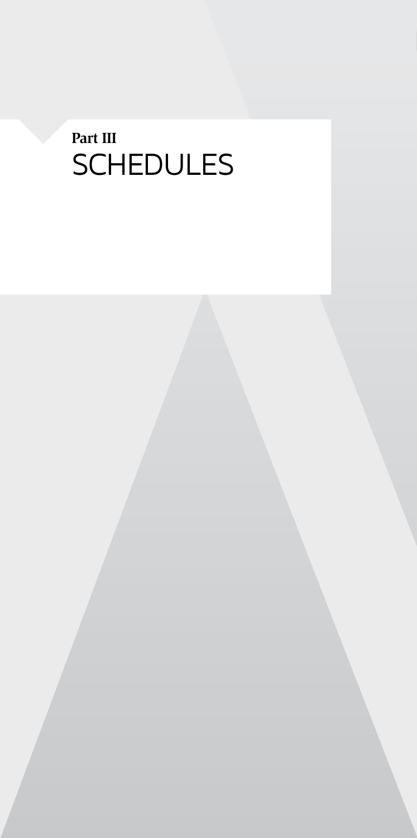# **Part III** SCHEDULES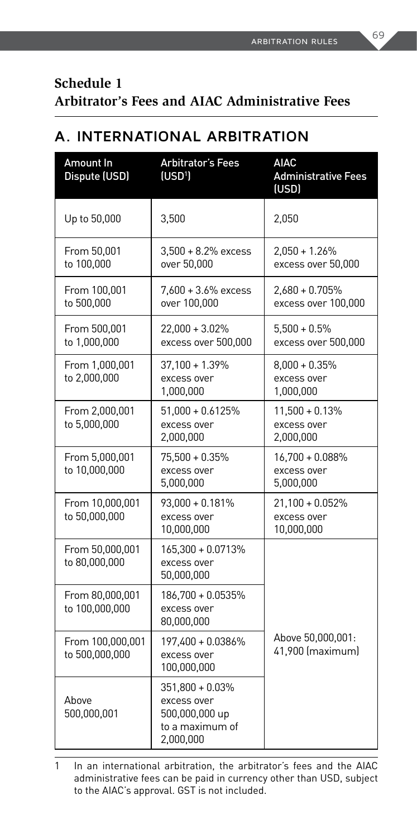### **Schedule 1 Arbitrator's Fees and AIAC Administrative Fees**

# **A. INTERNATIONAL ARBITRATION**

| Amount In<br>Dispute (USD)         | <b>Arbitrator's Fees</b><br>(USD <sup>1</sup> )                                  | <b>AIAC</b><br><b>Administrative Fees</b><br>(USD) |
|------------------------------------|----------------------------------------------------------------------------------|----------------------------------------------------|
| Up to 50,000                       | 3,500                                                                            | 2,050                                              |
| From 50,001<br>to 100,000          | $3,500 + 8.2%$ excess<br>over 50,000                                             | $2,050 + 1.26%$<br>excess over 50,000              |
| From 100,001<br>to 500.000         | $7,600 + 3.6\%$ excess<br>over 100,000                                           | 2,680 + 0.705%<br>excess over 100,000              |
| From 500,001<br>to 1,000,000       | 22,000 + 3.02%<br>excess over 500,000                                            | $5,500 + 0.5\%$<br>excess over 500,000             |
| From 1,000,001<br>to 2,000,000     | 37,100 + 1.39%<br>excess over<br>1,000,000                                       | $8,000 + 0.35\%$<br>excess over<br>1,000,000       |
| From 2,000,001<br>to 5,000,000     | 51,000 + 0.6125%<br>excess over<br>2,000,000                                     | $11,500 + 0.13%$<br>excess over<br>2,000,000       |
| From 5,000,001<br>to 10,000,000    | 75,500 + 0.35%<br>excess over<br>5,000,000                                       | 16,700 + 0.088%<br>excess over<br>5,000,000        |
| From 10,000,001<br>to 50,000,000   | 93.000 + 0.181%<br>excess over<br>10,000,000                                     | $21,100 + 0.052%$<br>excess over<br>10,000,000     |
| From 50,000,001<br>to 80,000,000   | 165,300 + 0.0713%<br>excess over<br>50,000,000                                   |                                                    |
| From 80,000,001<br>to 100,000,000  | 186.700 + 0.0535%<br>excess over<br>80,000,000                                   |                                                    |
| From 100,000,001<br>to 500,000,000 | 197.400 + 0.0386%<br>excess over<br>100,000,000                                  | Above 50,000,001:<br>41,900 (maximum)              |
| Above<br>500,000,001               | 351.800 + 0.03%<br>excess over<br>500,000,000 up<br>to a maximum of<br>2,000,000 |                                                    |

1 In an international arbitration, the arbitrator's fees and the AIAC administrative fees can be paid in currency other than USD, subject to the AIAC's approval. GST is not included.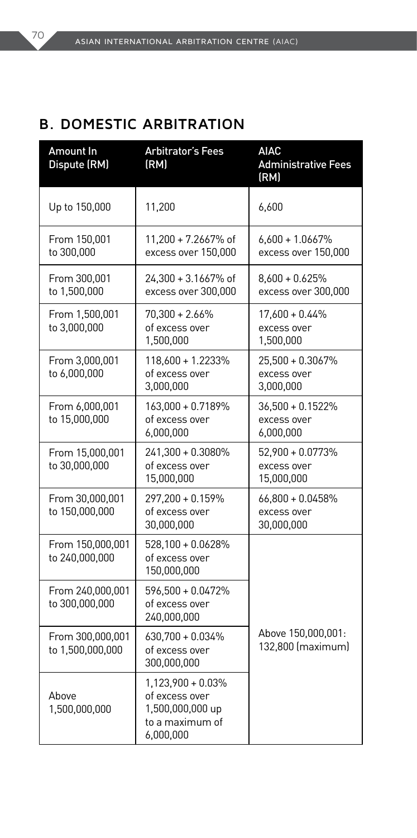# **B. DOMESTIC ARBITRATION**

| Amount In<br>Dispute (RM)            | <b>Arbitrator's Fees</b><br>(RM)                                                        | <b>AIAC</b><br><b>Administrative Fees</b><br>(RM) |
|--------------------------------------|-----------------------------------------------------------------------------------------|---------------------------------------------------|
| Up to 150,000                        | 11,200                                                                                  | 6,600                                             |
| From 150,001<br>to 300,000           | 11,200 + 7.2667% of<br>excess over 150,000                                              | $6,600 + 1.0667%$<br>excess over 150,000          |
| From 300,001<br>to 1,500,000         | 24,300 + 3.1667% of<br>excess over 300,000                                              | $8,600 + 0.625%$<br>excess over 300,000           |
| From 1,500,001<br>to 3,000,000       | $70,300 + 2.66\%$<br>of excess over<br>1,500,000                                        | 17,600 + 0.44%<br>excess over<br>1,500,000        |
| From 3,000,001<br>to 6,000,000       | 118,600 + 1.2233%<br>of excess over<br>3,000,000                                        | 25,500 + 0.3067%<br>excess over<br>3,000,000      |
| From 6,000,001<br>to 15,000,000      | 163,000 + 0.7189%<br>of excess over<br>6,000,000                                        | $36,500 + 0.1522%$<br>excess over<br>6,000,000    |
| From 15,000,001<br>to 30,000,000     | 241,300 + 0.3080%<br>of excess over<br>15,000,000                                       | 52,900 + 0.0773%<br>excess over<br>15,000,000     |
| From 30,000,001<br>to 150,000,000    | 297,200 + 0.159%<br>of excess over<br>30,000,000                                        | 66,800 + 0.0458%<br>excess over<br>30,000,000     |
| From 150,000,001<br>to 240,000,000   | 528,100 + 0.0628%<br>of excess over<br>150,000,000                                      |                                                   |
| From 240,000,001<br>to 300,000,000   | 596,500 + 0.0472%<br>of excess over<br>240,000,000                                      |                                                   |
| From 300,000,001<br>to 1,500,000,000 | 630,700 + 0.034%<br>of excess over<br>300,000,000                                       | Above 150,000,001:<br>132,800 (maximum)           |
| Above<br>1,500,000,000               | 1,123,900 + 0.03%<br>of excess over<br>1,500,000,000 up<br>to a maximum of<br>6,000,000 |                                                   |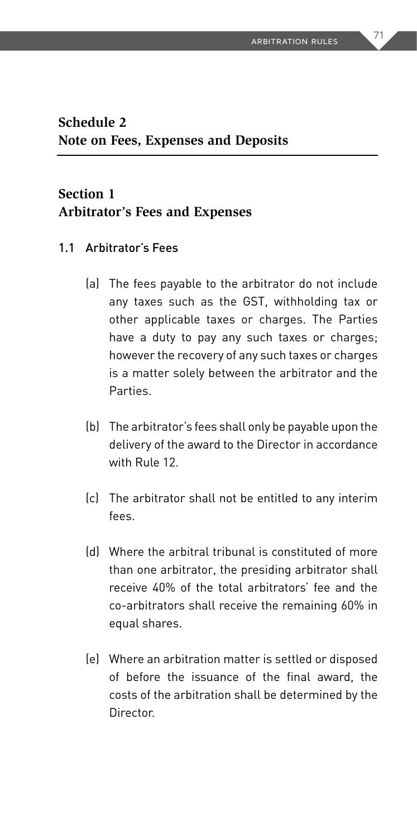#### **Schedule 2 Note on Fees, Expenses and Deposits**

#### **Section 1 Arbitrator's Fees and Expenses**

- 1.1 Arbitrator's Fees
	- (a) The fees payable to the arbitrator do not include any taxes such as the GST, withholding tax or other applicable taxes or charges. The Parties have a duty to pay any such taxes or charges; however the recovery of any such taxes or charges is a matter solely between the arbitrator and the Parties.
	- (b) The arbitrator's fees shall only be payable upon the delivery of the award to the Director in accordance with Rule 12.
	- (c) The arbitrator shall not be entitled to any interim fees.
	- (d) Where the arbitral tribunal is constituted of more than one arbitrator, the presiding arbitrator shall receive 40% of the total arbitrators' fee and the co-arbitrators shall receive the remaining 60% in equal shares.
	- (e) Where an arbitration matter is settled or disposed of before the issuance of the final award, the costs of the arbitration shall be determined by the Director.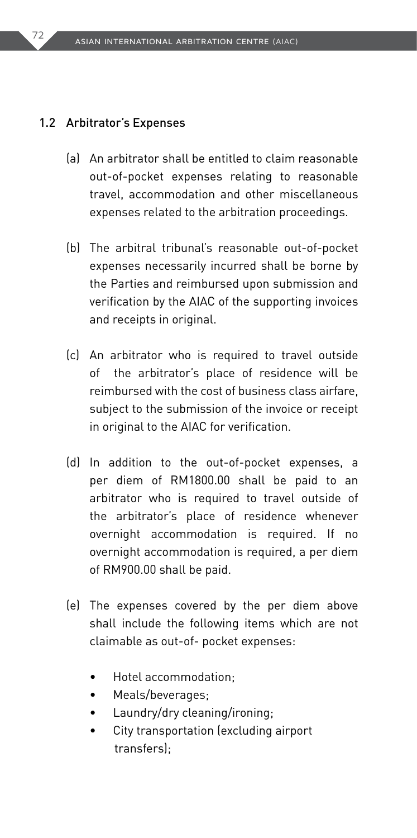#### 1.2 Arbitrator's Expenses

- (a) An arbitrator shall be entitled to claim reasonable out-of-pocket expenses relating to reasonable travel, accommodation and other miscellaneous expenses related to the arbitration proceedings.
- (b) The arbitral tribunal's reasonable out-of-pocket expenses necessarily incurred shall be borne by the Parties and reimbursed upon submission and verification by the AIAC of the supporting invoices and receipts in original.
- (c) An arbitrator who is required to travel outside of the arbitrator's place of residence will be reimbursed with the cost of business class airfare, subject to the submission of the invoice or receipt in original to the AIAC for verification.
- (d) In addition to the out-of-pocket expenses, a per diem of RM1800.00 shall be paid to an arbitrator who is required to travel outside of the arbitrator's place of residence whenever overnight accommodation is required. If no overnight accommodation is required, a per diem of RM900.00 shall be paid.
- (e) The expenses covered by the per diem above shall include the following items which are not claimable as out-of- pocket expenses:
	- Hotel accommodation;
	- Meals/beverages;
	- Laundry/dry cleaning/ironing;
	- City transportation (excluding airport transfers);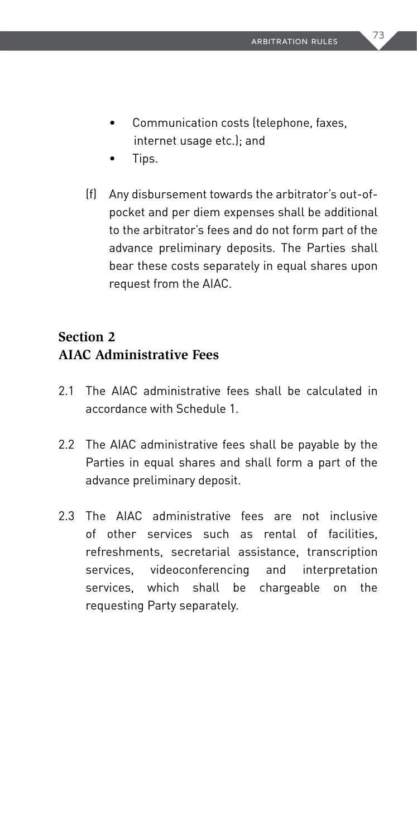- Communication costs (telephone, faxes, internet usage etc.); and
- Tips.
- (f) Any disbursement towards the arbitrator's out-ofpocket and per diem expenses shall be additional to the arbitrator's fees and do not form part of the advance preliminary deposits. The Parties shall bear these costs separately in equal shares upon request from the AIAC.

### **Section 2 AIAC Administrative Fees**

- 2.1 The AIAC administrative fees shall be calculated in accordance with Schedule 1.
- 2.2 The AIAC administrative fees shall be payable by the Parties in equal shares and shall form a part of the advance preliminary deposit.
- 2.3 The AIAC administrative fees are not inclusive of other services such as rental of facilities, refreshments, secretarial assistance, transcription services, videoconferencing and interpretation services, which shall be chargeable on the requesting Party separately.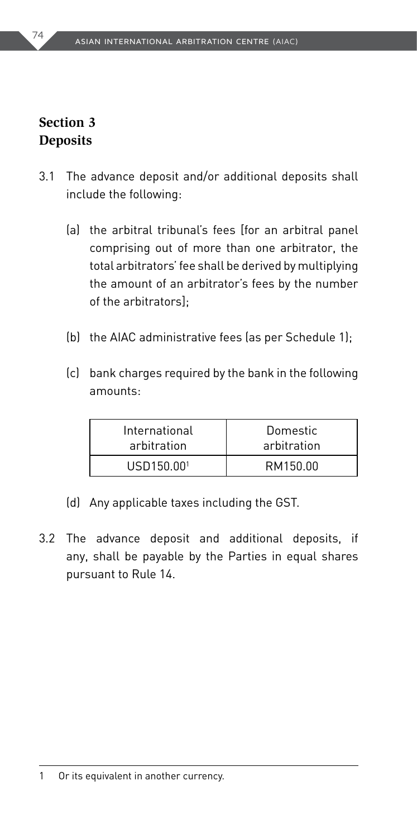#### **Section 3 Deposits**

- 3.1 The advance deposit and/or additional deposits shall include the following:
	- (a) the arbitral tribunal's fees [for an arbitral panel comprising out of more than one arbitrator, the total arbitrators' fee shall be derived by multiplying the amount of an arbitrator's fees by the number of the arbitrators];
	- (b) the AIAC administrative fees (as per Schedule 1);
	- (c) bank charges required by the bank in the following amounts:

| International | Domestic    |
|---------------|-------------|
| arbitration   | arbitration |
| USD150.001    | RM150.00    |

- (d) Any applicable taxes including the GST.
- 3.2 The advance deposit and additional deposits, if any, shall be payable by the Parties in equal shares pursuant to Rule 14.

1 Or its equivalent in another currency.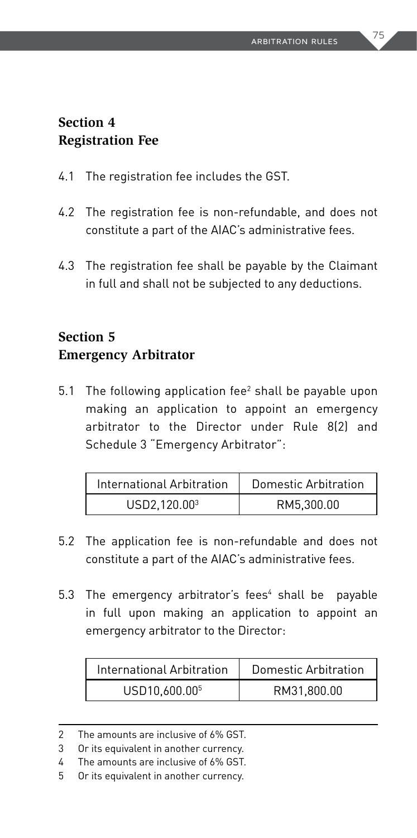#### **Section 4 Registration Fee**

- 4.1 The registration fee includes the GST.
- 4.2 The registration fee is non-refundable, and does not constitute a part of the AIAC's administrative fees.
- 4.3 The registration fee shall be payable by the Claimant in full and shall not be subjected to any deductions.

### **Section 5 Emergency Arbitrator**

5.1 The following application fee<sup>2</sup> shall be payable upon making an application to appoint an emergency arbitrator to the Director under Rule 8(2) and Schedule 3 "Emergency Arbitrator":

| International Arbitration | Domestic Arbitration |
|---------------------------|----------------------|
| USD2.120.00 <sup>3</sup>  | RM5.300.00           |

- 5.2 The application fee is non-refundable and does not constitute a part of the AIAC's administrative fees.
- 5.3 The emergency arbitrator's fees<sup>4</sup> shall be payable in full upon making an application to appoint an emergency arbitrator to the Director:

| International Arbitration | Domestic Arbitration |
|---------------------------|----------------------|
| USD10.600.00 <sup>5</sup> | RM31.800.00          |

<sup>2</sup> The amounts are inclusive of 6% GST.

<sup>3</sup> Or its equivalent in another currency.

<sup>4</sup> The amounts are inclusive of 6% GST.

<sup>5</sup> Or its equivalent in another currency.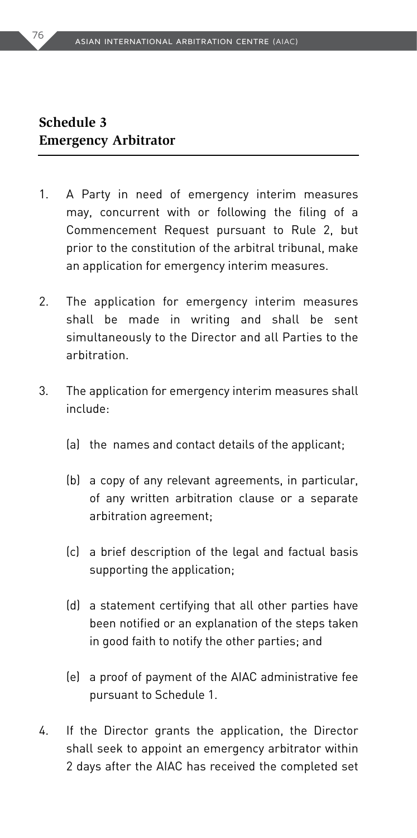#### **Schedule 3 Emergency Arbitrator**

- 1. A Party in need of emergency interim measures may, concurrent with or following the filing of a Commencement Request pursuant to Rule 2, but prior to the constitution of the arbitral tribunal, make an application for emergency interim measures.
- 2. The application for emergency interim measures shall be made in writing and shall be sent simultaneously to the Director and all Parties to the arbitration.
- 3. The application for emergency interim measures shall include:
	- (a) the names and contact details of the applicant;
	- (b) a copy of any relevant agreements, in particular, of any written arbitration clause or a separate arbitration agreement;
	- (c) a brief description of the legal and factual basis supporting the application;
	- (d) a statement certifying that all other parties have been notified or an explanation of the steps taken in good faith to notify the other parties; and
	- (e) a proof of payment of the AIAC administrative fee pursuant to Schedule 1.
- 4. If the Director grants the application, the Director shall seek to appoint an emergency arbitrator within 2 days after the AIAC has received the completed set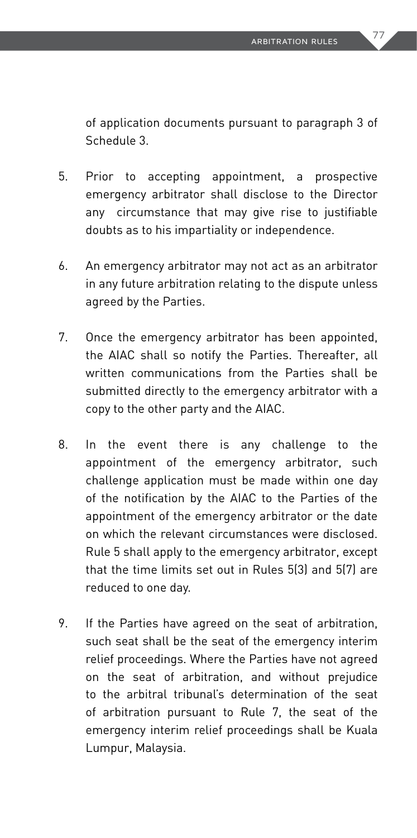of application documents pursuant to paragraph 3 of Schedule 3.

- 5. Prior to accepting appointment, a prospective emergency arbitrator shall disclose to the Director any circumstance that may give rise to justifiable doubts as to his impartiality or independence.
- 6. An emergency arbitrator may not act as an arbitrator in any future arbitration relating to the dispute unless agreed by the Parties.
- 7. Once the emergency arbitrator has been appointed, the AIAC shall so notify the Parties. Thereafter, all written communications from the Parties shall be submitted directly to the emergency arbitrator with a copy to the other party and the AIAC.
- 8. In the event there is any challenge to the appointment of the emergency arbitrator, such challenge application must be made within one day of the notification by the AIAC to the Parties of the appointment of the emergency arbitrator or the date on which the relevant circumstances were disclosed. Rule 5 shall apply to the emergency arbitrator, except that the time limits set out in Rules 5(3) and 5(7) are reduced to one day.
- 9. If the Parties have agreed on the seat of arbitration, such seat shall be the seat of the emergency interim relief proceedings. Where the Parties have not agreed on the seat of arbitration, and without prejudice to the arbitral tribunal's determination of the seat of arbitration pursuant to Rule 7, the seat of the emergency interim relief proceedings shall be Kuala Lumpur, Malaysia.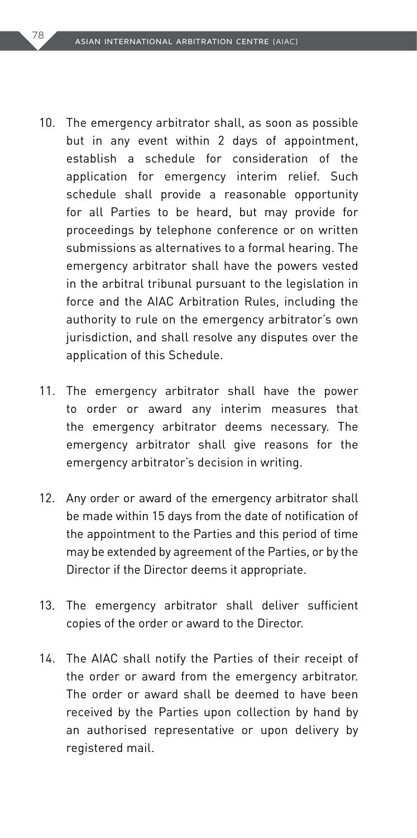- 10. The emergency arbitrator shall, as soon as possible but in any event within 2 days of appointment, establish a schedule for consideration of the application for emergency interim relief. Such schedule shall provide a reasonable opportunity for all Parties to be heard, but may provide for proceedings by telephone conference or on written submissions as alternatives to a formal hearing. The emergency arbitrator shall have the powers vested in the arbitral tribunal pursuant to the legislation in force and the AIAC Arbitration Rules, including the authority to rule on the emergency arbitrator's own jurisdiction, and shall resolve any disputes over the application of this Schedule.
- 11. The emergency arbitrator shall have the power to order or award any interim measures that the emergency arbitrator deems necessary. The emergency arbitrator shall give reasons for the emergency arbitrator's decision in writing.
- 12. Any order or award of the emergency arbitrator shall be made within 15 days from the date of notification of the appointment to the Parties and this period of time may be extended by agreement of the Parties, or by the Director if the Director deems it appropriate.
- 13. The emergency arbitrator shall deliver sufficient copies of the order or award to the Director.
- 14. The AIAC shall notify the Parties of their receipt of the order or award from the emergency arbitrator. The order or award shall be deemed to have been received by the Parties upon collection by hand by an authorised representative or upon delivery by registered mail.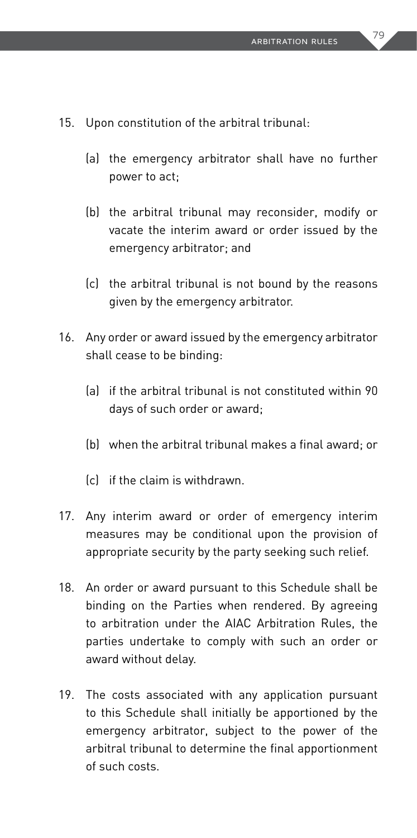- 15. Upon constitution of the arbitral tribunal:
	- (a) the emergency arbitrator shall have no further power to act;
	- (b) the arbitral tribunal may reconsider, modify or vacate the interim award or order issued by the emergency arbitrator; and
	- (c) the arbitral tribunal is not bound by the reasons given by the emergency arbitrator.
- 16. Any order or award issued by the emergency arbitrator shall cease to be binding:
	- (a) if the arbitral tribunal is not constituted within 90 days of such order or award;
	- (b) when the arbitral tribunal makes a final award; or
	- (c) if the claim is withdrawn.
- 17. Any interim award or order of emergency interim measures may be conditional upon the provision of appropriate security by the party seeking such relief.
- 18. An order or award pursuant to this Schedule shall be binding on the Parties when rendered. By agreeing to arbitration under the AIAC Arbitration Rules, the parties undertake to comply with such an order or award without delay.
- 19. The costs associated with any application pursuant to this Schedule shall initially be apportioned by the emergency arbitrator, subject to the power of the arbitral tribunal to determine the final apportionment of such costs.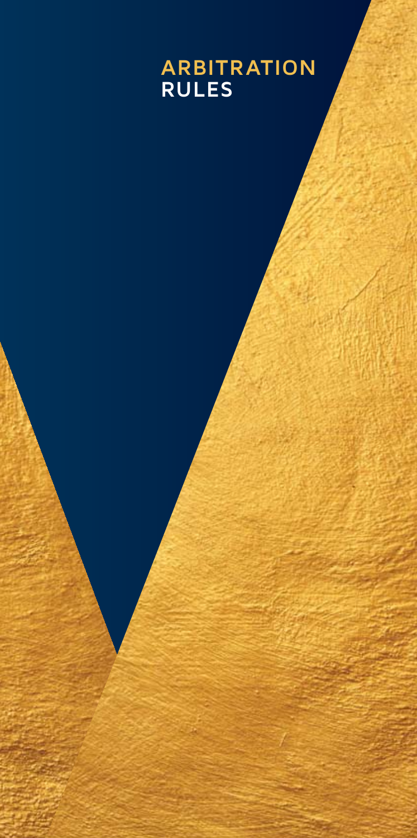# **ARBITRATION RULES**